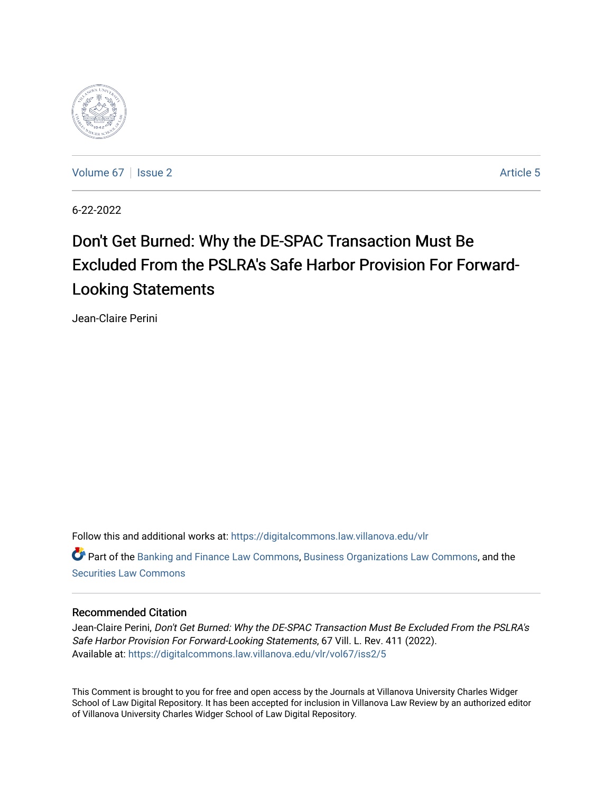

[Volume 67](https://digitalcommons.law.villanova.edu/vlr/vol67) | [Issue 2](https://digitalcommons.law.villanova.edu/vlr/vol67/iss2) Article 5

6-22-2022

# Don't Get Burned: Why the DE-SPAC Transaction Must Be Excluded From the PSLRA's Safe Harbor Provision For Forward-Looking Statements

Jean-Claire Perini

Follow this and additional works at: [https://digitalcommons.law.villanova.edu/vlr](https://digitalcommons.law.villanova.edu/vlr?utm_source=digitalcommons.law.villanova.edu%2Fvlr%2Fvol67%2Fiss2%2F5&utm_medium=PDF&utm_campaign=PDFCoverPages) Part of the [Banking and Finance Law Commons,](https://network.bepress.com/hgg/discipline/833?utm_source=digitalcommons.law.villanova.edu%2Fvlr%2Fvol67%2Fiss2%2F5&utm_medium=PDF&utm_campaign=PDFCoverPages) [Business Organizations Law Commons](https://network.bepress.com/hgg/discipline/900?utm_source=digitalcommons.law.villanova.edu%2Fvlr%2Fvol67%2Fiss2%2F5&utm_medium=PDF&utm_campaign=PDFCoverPages), and the [Securities Law Commons](https://network.bepress.com/hgg/discipline/619?utm_source=digitalcommons.law.villanova.edu%2Fvlr%2Fvol67%2Fiss2%2F5&utm_medium=PDF&utm_campaign=PDFCoverPages)

# Recommended Citation

Jean-Claire Perini, Don't Get Burned: Why the DE-SPAC Transaction Must Be Excluded From the PSLRA's Safe Harbor Provision For Forward-Looking Statements, 67 Vill. L. Rev. 411 (2022). Available at: [https://digitalcommons.law.villanova.edu/vlr/vol67/iss2/5](https://digitalcommons.law.villanova.edu/vlr/vol67/iss2/5?utm_source=digitalcommons.law.villanova.edu%2Fvlr%2Fvol67%2Fiss2%2F5&utm_medium=PDF&utm_campaign=PDFCoverPages) 

This Comment is brought to you for free and open access by the Journals at Villanova University Charles Widger School of Law Digital Repository. It has been accepted for inclusion in Villanova Law Review by an authorized editor of Villanova University Charles Widger School of Law Digital Repository.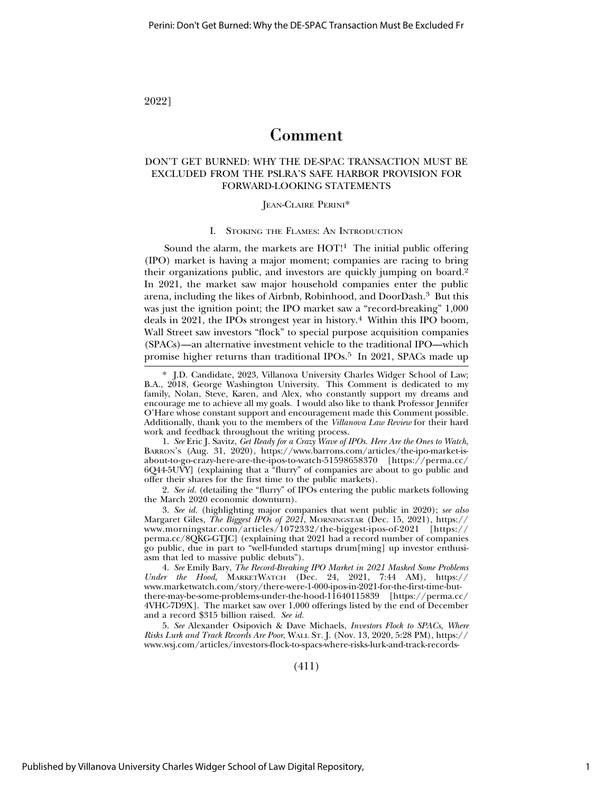# 2022]

# Comment

# DON'T GET BURNED: WHY THE DE-SPAC TRANSACTION MUST BE EXCLUDED FROM THE PSLRA'S SAFE HARBOR PROVISION FOR FORWARD-LOOKING STATEMENTS

### JEAN-CLAIRE PERINI\*

### I. STOKING THE FLAMES: AN INTRODUCTION

Sound the alarm, the markets are  $HOT<sup>11</sup>$  The initial public offering (IPO) market is having a major moment; companies are racing to bring their organizations public, and investors are quickly jumping on board.2 In 2021, the market saw major household companies enter the public arena, including the likes of Airbnb, Robinhood, and DoorDash.3 But this was just the ignition point; the IPO market saw a "record-breaking" 1,000 deals in 2021, the IPOs strongest year in history.<sup>4</sup> Within this IPO boom, Wall Street saw investors "flock" to special purpose acquisition companies (SPACs)—an alternative investment vehicle to the traditional IPO—which promise higher returns than traditional IPOs.<sup>5</sup> In 2021, SPACs made up

1. *See* Eric J. Savitz, *Get Ready for a Crazy Wave of IPOs. Here Are the Ones to Watch*, BARRON'S (Aug. 31, 2020), https://www.barrons.com/articles/the-ipo-market-isabout-to-go-crazy-here-are-the-ipos-to-watch-51598658370 [https://perma.cc/ 6Q44-5UVY] (explaining that a "flurry" of companies are about to go public and offer their shares for the first time to the public markets).

2. *See id.* (detailing the "flurry" of IPOs entering the public markets following the March 2020 economic downturn).

3. *See id.* (highlighting major companies that went public in 2020); *see also* Margaret Giles, *The Biggest IPOs of 2021*, MORNINGSTAR (Dec. 15, 2021), https:// www.morningstar.com/articles/1072332/the-biggest-ipos-of-2021 [https:// perma.cc/8QKG-GTJC] (explaining that 2021 had a record number of companies go public, due in part to "well-funded startups drum[ming] up investor enthusiasm that led to massive public debuts").

4. *See* Emily Bary, *The Record-Breaking IPO Market in 2021 Masked Some Problems Under the Hood*, MARKETWATCH (Dec. 24, 2021, 7:44 AM), https:// www.marketwatch.com/story/there-were-1-000-ipos-in-2021-for-the-first-time-butthere-may-be-some-problems-under-the-hood-11640115839 [https://perma.cc/ 4VHC-7D9X]. The market saw over 1,000 offerings listed by the end of December and a record \$315 billion raised. *See id.*

5. *See* Alexander Osipovich & Dave Michaels, *Investors Flock to SPACs, Where Risks Lurk and Track Records Are Poor*, WALL ST. J. (Nov. 13, 2020, 5:28 PM), https:// www.wsj.com/articles/investors-flock-to-spacs-where-risks-lurk-and-track-records-

(411)

<sup>\*</sup> J.D. Candidate, 2023, Villanova University Charles Widger School of Law; B.A., 2018, George Washington University. This Comment is dedicated to my family, Nolan, Steve, Karen, and Alex, who constantly support my dreams and encourage me to achieve all my goals. I would also like to thank Professor Jennifer O'Hare whose constant support and encouragement made this Comment possible. Additionally, thank you to the members of the *Villanova Law Review* for their hard work and feedback throughout the writing process.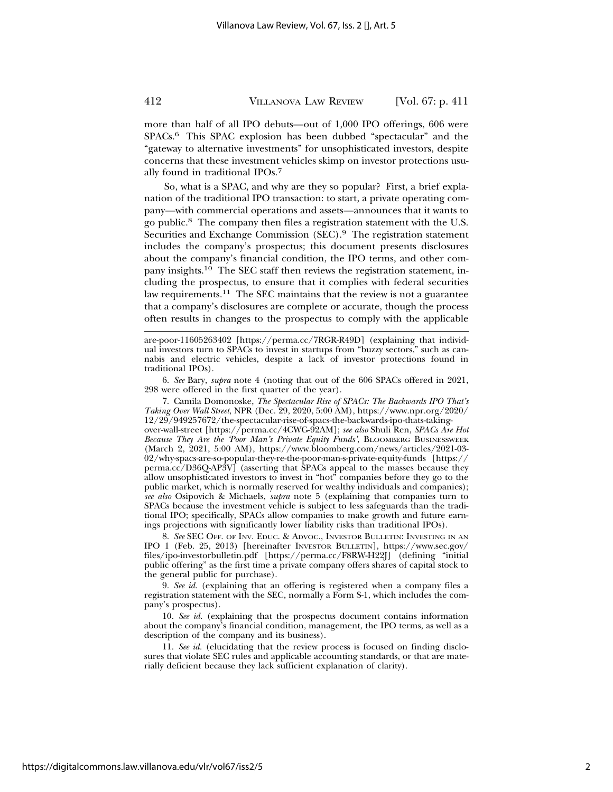more than half of all IPO debuts—out of 1,000 IPO offerings, 606 were SPACs.6 This SPAC explosion has been dubbed "spectacular" and the "gateway to alternative investments" for unsophisticated investors, despite concerns that these investment vehicles skimp on investor protections usually found in traditional IPOs.7

So, what is a SPAC, and why are they so popular? First, a brief explanation of the traditional IPO transaction: to start, a private operating company—with commercial operations and assets—announces that it wants to go public.8 The company then files a registration statement with the U.S. Securities and Exchange Commission (SEC).<sup>9</sup> The registration statement includes the company's prospectus; this document presents disclosures about the company's financial condition, the IPO terms, and other company insights.10 The SEC staff then reviews the registration statement, including the prospectus, to ensure that it complies with federal securities law requirements.11 The SEC maintains that the review is not a guarantee that a company's disclosures are complete or accurate, though the process often results in changes to the prospectus to comply with the applicable

6. *See* Bary, *supra* note 4 (noting that out of the 606 SPACs offered in 2021, 298 were offered in the first quarter of the year).

7. Camila Domonoske, *The Spectacular Rise of SPACs: The Backwards IPO That's Taking Over Wall Street*, NPR (Dec. 29, 2020, 5:00 AM), https://www.npr.org/2020/ 12/29/949257672/the-spectacular-rise-of-spacs-the-backwards-ipo-thats-takingover-wall-street [https://perma.cc/4CWG-92AM]; *see also* Shuli Ren, *SPACs Are Hot Because They Are the 'Poor Man's Private Equity Funds'*, BLOOMBERG BUSINESSWEEK (March 2, 2021, 5:00 AM), https://www.bloomberg.com/news/articles/2021-03- 02/why-spacs-are-so-popular-they-re-the-poor-man-s-private-equity-funds [https:// perma.cc/D36Q-AP3V] (asserting that SPACs appeal to the masses because they allow unsophisticated investors to invest in "hot" companies before they go to the public market, which is normally reserved for wealthy individuals and companies);

*see also* Osipovich & Michaels, *supra* note 5 (explaining that companies turn to SPACs because the investment vehicle is subject to less safeguards than the traditional IPO; specifically, SPACs allow companies to make growth and future earnings projections with significantly lower liability risks than traditional IPOs).

8. *See* SEC OFF. OF INV. EDUC. & ADVOC., INVESTOR BULLETIN: INVESTING IN AN IPO 1 (Feb. 25, 2013) [hereinafter INVESTOR BULLETIN], https://www.sec.gov/ files/ipo-investorbulletin.pdf [https://perma.cc/F8RW-H22J] (defining "initial public offering" as the first time a private company offers shares of capital stock to the general public for purchase).

9. *See id.* (explaining that an offering is registered when a company files a registration statement with the SEC, normally a Form S-1, which includes the company's prospectus).

10. *See id.* (explaining that the prospectus document contains information about the company's financial condition, management, the IPO terms, as well as a description of the company and its business).

11. *See id.* (elucidating that the review process is focused on finding disclosures that violate SEC rules and applicable accounting standards, or that are materially deficient because they lack sufficient explanation of clarity).

are-poor-11605263402 [https://perma.cc/7RGR-R49D] (explaining that individual investors turn to SPACs to invest in startups from "buzzy sectors," such as cannabis and electric vehicles, despite a lack of investor protections found in traditional IPOs).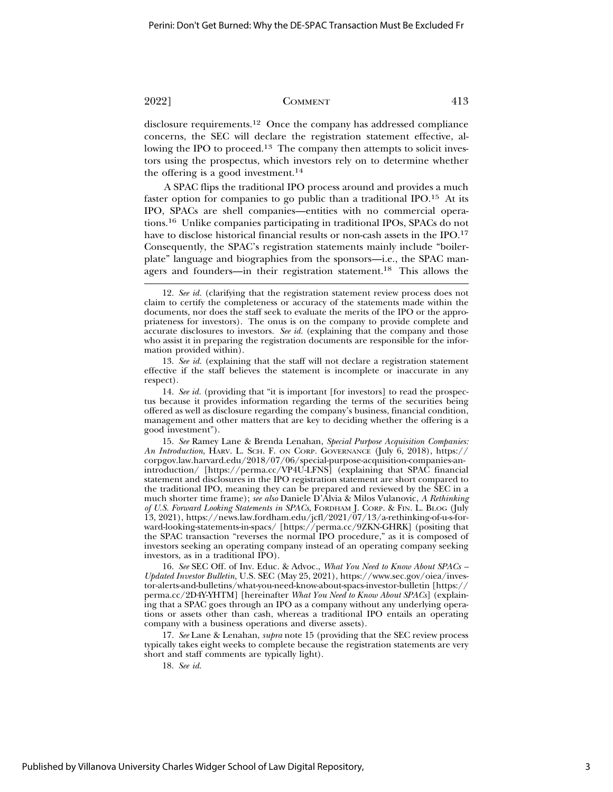disclosure requirements.12 Once the company has addressed compliance concerns, the SEC will declare the registration statement effective, allowing the IPO to proceed.<sup>13</sup> The company then attempts to solicit investors using the prospectus, which investors rely on to determine whether the offering is a good investment.<sup>14</sup>

A SPAC flips the traditional IPO process around and provides a much faster option for companies to go public than a traditional IPO.15 At its IPO, SPACs are shell companies—entities with no commercial operations.16 Unlike companies participating in traditional IPOs, SPACs do not have to disclose historical financial results or non-cash assets in the IPO.17 Consequently, the SPAC's registration statements mainly include "boilerplate" language and biographies from the sponsors—i.e., the SPAC managers and founders—in their registration statement.18 This allows the

13. *See id.* (explaining that the staff will not declare a registration statement effective if the staff believes the statement is incomplete or inaccurate in any respect).

14. *See id.* (providing that "it is important [for investors] to read the prospectus because it provides information regarding the terms of the securities being offered as well as disclosure regarding the company's business, financial condition, management and other matters that are key to deciding whether the offering is a good investment").

15. *See* Ramey Lane & Brenda Lenahan, *Special Purpose Acquisition Companies: An Introduction*, HARV. L. SCH. F. ON CORP. GOVERNANCE (July 6, 2018), https:// corpgov.law.harvard.edu/2018/07/06/special-purpose-acquisition-companies-anintroduction/ [https://perma.cc/VP4U-LFNS] (explaining that SPAC financial statement and disclosures in the IPO registration statement are short compared to the traditional IPO, meaning they can be prepared and reviewed by the SEC in a much shorter time frame); *see also* Daniele D'Alvia & Milos Vulanovic, *A Rethinking of U.S. Forward Looking Statements in SPACs*, FORDHAM J. CORP. & FIN. L. BLOG (July 13, 2021), https://news.law.fordham.edu/jcfl/2021/07/13/a-rethinking-of-u-s-forward-looking-statements-in-spacs/ [https://perma.cc/9ZKN-GHRK] (positing that the SPAC transaction "reverses the normal IPO procedure," as it is composed of investors seeking an operating company instead of an operating company seeking investors, as in a traditional IPO).

16. *See* SEC Off. of Inv. Educ. & Advoc., *What You Need to Know About SPACs – Updated Investor Bulletin,* U.S. SEC (May 25, 2021), https://www.sec.gov/oiea/investor-alerts-and-bulletins/what-you-need-know-about-spacs-investor-bulletin [https:// perma.cc/2D4Y-YHTM] [hereinafter *What You Need to Know About SPACs*] (explaining that a SPAC goes through an IPO as a company without any underlying operations or assets other than cash, whereas a traditional IPO entails an operating company with a business operations and diverse assets).

17. *See* Lane & Lenahan, *supra* note 15 (providing that the SEC review process typically takes eight weeks to complete because the registration statements are very short and staff comments are typically light).

18. *See id.*

<sup>12.</sup> *See id.* (clarifying that the registration statement review process does not claim to certify the completeness or accuracy of the statements made within the documents, nor does the staff seek to evaluate the merits of the IPO or the appropriateness for investors). The onus is on the company to provide complete and accurate disclosures to investors. *See id.* (explaining that the company and those who assist it in preparing the registration documents are responsible for the information provided within).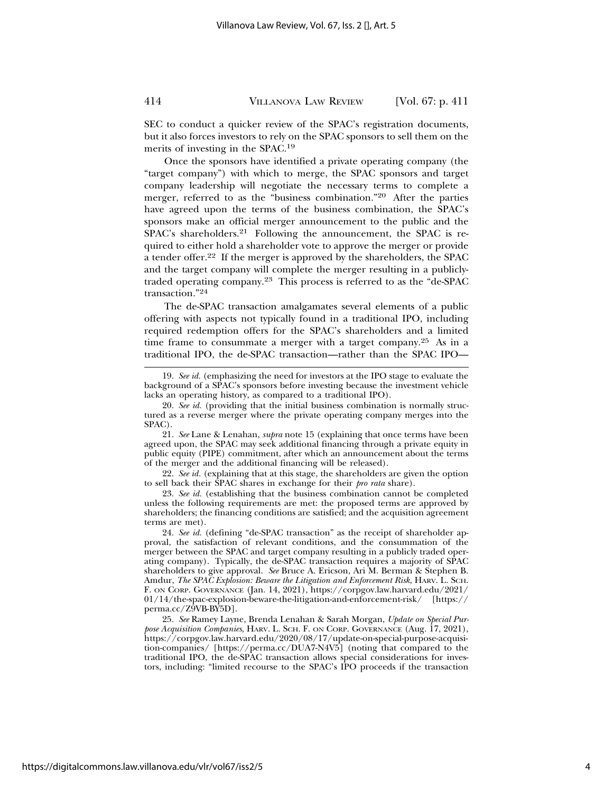SEC to conduct a quicker review of the SPAC's registration documents, but it also forces investors to rely on the SPAC sponsors to sell them on the merits of investing in the SPAC.19

Once the sponsors have identified a private operating company (the "target company") with which to merge, the SPAC sponsors and target company leadership will negotiate the necessary terms to complete a merger, referred to as the "business combination."20 After the parties have agreed upon the terms of the business combination, the SPAC's sponsors make an official merger announcement to the public and the SPAC's shareholders.<sup>21</sup> Following the announcement, the SPAC is required to either hold a shareholder vote to approve the merger or provide a tender offer.22 If the merger is approved by the shareholders, the SPAC and the target company will complete the merger resulting in a publiclytraded operating company.23 This process is referred to as the "de-SPAC transaction."24

The de-SPAC transaction amalgamates several elements of a public offering with aspects not typically found in a traditional IPO, including required redemption offers for the SPAC's shareholders and a limited time frame to consummate a merger with a target company.<sup>25</sup> As in a traditional IPO, the de-SPAC transaction—rather than the SPAC IPO—

22. *See id.* (explaining that at this stage, the shareholders are given the option to sell back their SPAC shares in exchange for their *pro rata* share).

23. *See id.* (establishing that the business combination cannot be completed unless the following requirements are met: the proposed terms are approved by shareholders; the financing conditions are satisfied; and the acquisition agreement terms are met).

24. *See id.* (defining "de-SPAC transaction" as the receipt of shareholder approval, the satisfaction of relevant conditions, and the consummation of the merger between the SPAC and target company resulting in a publicly traded operating company). Typically, the de-SPAC transaction requires a majority of SPAC shareholders to give approval. *See* Bruce A. Ericson, Ari M. Berman & Stephen B. Amdur, *The SPAC Explosion: Beware the Litigation and Enforcement Risk*, HARV. L. SCH. F. ON CORP. GOVERNANCE (Jan. 14, 2021), https://corpgov.law.harvard.edu/2021/ 01/14/the-spac-explosion-beware-the-litigation-and-enforcement-risk/ [https:// perma.cc/Z9VB-BY5D].

25. *See* Ramey Layne, Brenda Lenahan & Sarah Morgan, *Update on Special Purpose Acquisition Companies*, HARV. L. SCH. F. ON CORP. GOVERNANCE (Aug. 17, 2021), https://corpgov.law.harvard.edu/2020/08/17/update-on-special-purpose-acquisition-companies/ [https://perma.cc/DUA7-N4V5] (noting that compared to the traditional IPO, the de-SPAC transaction allows special considerations for investors, including: "limited recourse to the SPAC's IPO proceeds if the transaction

<sup>19.</sup> *See id.* (emphasizing the need for investors at the IPO stage to evaluate the background of a SPAC's sponsors before investing because the investment vehicle lacks an operating history, as compared to a traditional IPO).

<sup>20.</sup> *See id.* (providing that the initial business combination is normally structured as a reverse merger where the private operating company merges into the SPAC).

<sup>21.</sup> *See* Lane & Lenahan, *supra* note 15 (explaining that once terms have been agreed upon, the SPAC may seek additional financing through a private equity in public equity (PIPE) commitment, after which an announcement about the terms of the merger and the additional financing will be released).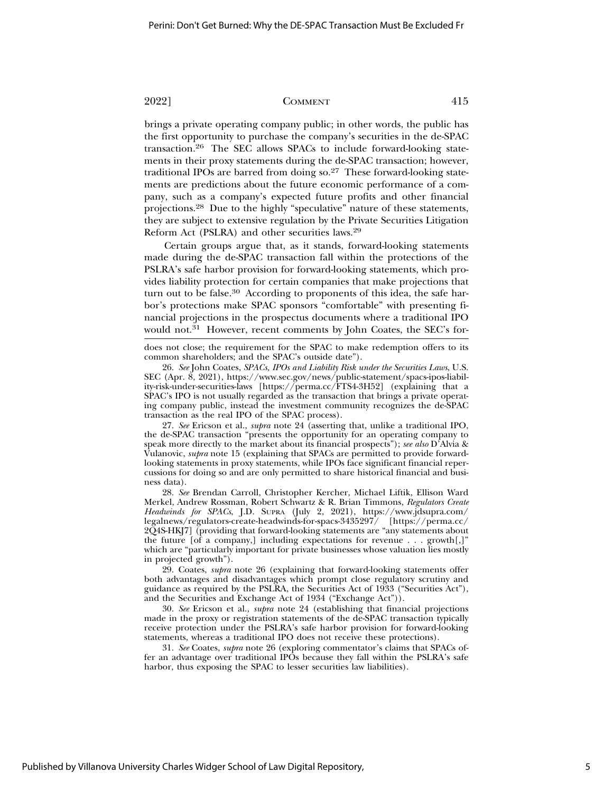brings a private operating company public; in other words, the public has the first opportunity to purchase the company's securities in the de-SPAC transaction.26 The SEC allows SPACs to include forward-looking statements in their proxy statements during the de-SPAC transaction; however, traditional IPOs are barred from doing so.27 These forward-looking statements are predictions about the future economic performance of a company, such as a company's expected future profits and other financial projections.28 Due to the highly "speculative" nature of these statements, they are subject to extensive regulation by the Private Securities Litigation Reform Act (PSLRA) and other securities laws.29

Certain groups argue that, as it stands, forward-looking statements made during the de-SPAC transaction fall within the protections of the PSLRA's safe harbor provision for forward-looking statements, which provides liability protection for certain companies that make projections that turn out to be false.<sup>30</sup> According to proponents of this idea, the safe harbor's protections make SPAC sponsors "comfortable" with presenting financial projections in the prospectus documents where a traditional IPO would not.<sup>31</sup> However, recent comments by John Coates, the SEC's for-

does not close; the requirement for the SPAC to make redemption offers to its common shareholders; and the SPAC's outside date").

26. *See* John Coates, *SPACs, IPOs and Liability Risk under the Securities Laws*, U.S. SEC (Apr. 8, 2021), https://www.sec.gov/news/public-statement/spacs-ipos-liability-risk-under-securities-laws [https://perma.cc/FTS4-3H52] (explaining that a SPAC's IPO is not usually regarded as the transaction that brings a private operating company public, instead the investment community recognizes the de-SPAC transaction as the real IPO of the SPAC process).

27. *See* Ericson et al., *supra* note 24 (asserting that, unlike a traditional IPO, the de-SPAC transaction "presents the opportunity for an operating company to speak more directly to the market about its financial prospects"); *see also* D'Alvia & Vulanovic, *supra* note 15 (explaining that SPACs are permitted to provide forwardlooking statements in proxy statements, while IPOs face significant financial repercussions for doing so and are only permitted to share historical financial and business data).

28. *See* Brendan Carroll, Christopher Kercher, Michael Liftik, Ellison Ward Merkel, Andrew Rossman, Robert Schwartz & R. Brian Timmons, *Regulators Create Headwinds for SPACs*, J.D. SUPRA (July 2, 2021), https://www.jdsupra.com/ legalnews/regulators-create-headwinds-for-spacs-3435297/ [https://perma.cc/ 2Q4S-HKJ7] (providing that forward-looking statements are "any statements about the future [of a company,] including expectations for revenue  $\dots$  growth $[$ ,]" which are "particularly important for private businesses whose valuation lies mostly in projected growth").

29. Coates, *supra* note 26 (explaining that forward-looking statements offer both advantages and disadvantages which prompt close regulatory scrutiny and guidance as required by the PSLRA, the Securities Act of 1933 ("Securities Act"), and the Securities and Exchange Act of 1934 ("Exchange Act")).

30. *See* Ericson et al., *supra* note 24 (establishing that financial projections made in the proxy or registration statements of the de-SPAC transaction typically receive protection under the PSLRA's safe harbor provision for forward-looking statements, whereas a traditional IPO does not receive these protections).

31. *See* Coates, *supra* note 26 (exploring commentator's claims that SPACs offer an advantage over traditional IPOs because they fall within the PSLRA's safe harbor, thus exposing the SPAC to lesser securities law liabilities).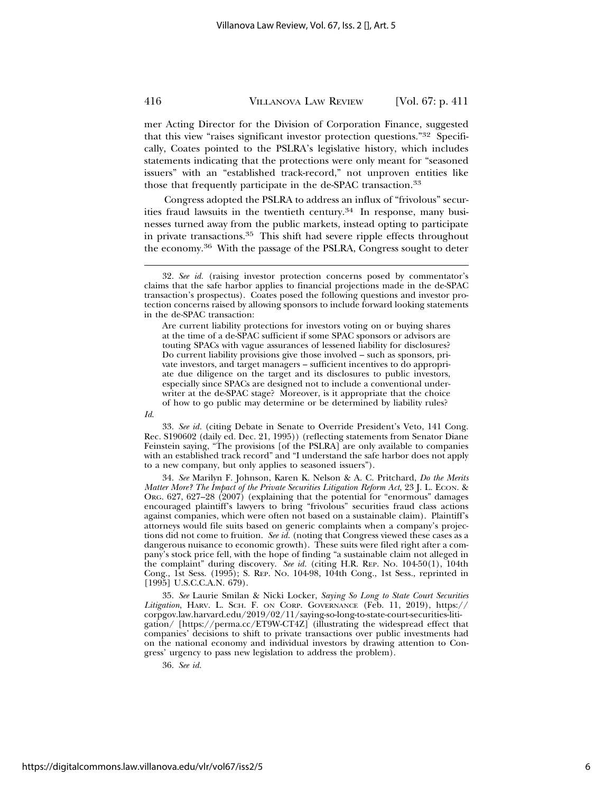mer Acting Director for the Division of Corporation Finance, suggested that this view "raises significant investor protection questions."32 Specifically, Coates pointed to the PSLRA's legislative history, which includes statements indicating that the protections were only meant for "seasoned issuers" with an "established track-record," not unproven entities like those that frequently participate in the de-SPAC transaction.<sup>33</sup>

Congress adopted the PSLRA to address an influx of "frivolous" securities fraud lawsuits in the twentieth century.<sup>34</sup> In response, many businesses turned away from the public markets, instead opting to participate in private transactions.35 This shift had severe ripple effects throughout the economy.36 With the passage of the PSLRA, Congress sought to deter

Are current liability protections for investors voting on or buying shares at the time of a de-SPAC sufficient if some SPAC sponsors or advisors are touting SPACs with vague assurances of lessened liability for disclosures? Do current liability provisions give those involved – such as sponsors, private investors, and target managers – sufficient incentives to do appropriate due diligence on the target and its disclosures to public investors, especially since SPACs are designed not to include a conventional underwriter at the de-SPAC stage? Moreover, is it appropriate that the choice of how to go public may determine or be determined by liability rules?

33. *See id.* (citing Debate in Senate to Override President's Veto, 141 Cong. Rec. S190602 (daily ed. Dec. 21, 1995)) (reflecting statements from Senator Diane Feinstein saying, "The provisions [of the PSLRA] are only available to companies with an established track record" and "I understand the safe harbor does not apply to a new company, but only applies to seasoned issuers").

34. *See* Marilyn F. Johnson, Karen K. Nelson & A. C. Pritchard, *Do the Merits Matter More? The Impact of the Private Securities Litigation Reform Act*, 23 J. L. ECON. & ORG. 627, 627–28 (2007) (explaining that the potential for "enormous" damages encouraged plaintiff's lawyers to bring "frivolous" securities fraud class actions against companies, which were often not based on a sustainable claim). Plaintiff's attorneys would file suits based on generic complaints when a company's projections did not come to fruition. *See id.* (noting that Congress viewed these cases as a dangerous nuisance to economic growth). These suits were filed right after a company's stock price fell, with the hope of finding "a sustainable claim not alleged in the complaint" during discovery. *See id.* (citing H.R. REP. NO. 104-50(1), 104th Cong., 1st Sess. (1995); S. REP. NO. 104-98, 104th Cong., 1st Sess., reprinted in [1995] U.S.C.C.A.N. 679).

35. *See* Laurie Smilan & Nicki Locker, *Saying So Long to State Court Securities Litigation*, HARV. L. SCH. F. ON CORP. GOVERNANCE (Feb. 11, 2019), https:// corpgov.law.harvard.edu/2019/02/11/saying-so-long-to-state-court-securities-litigation/ [https://perma.cc/ET9W-CT4Z] (illustrating the widespread effect that companies' decisions to shift to private transactions over public investments had on the national economy and individual investors by drawing attention to Congress' urgency to pass new legislation to address the problem).

36. *See id.*

<sup>32.</sup> *See id.* (raising investor protection concerns posed by commentator's claims that the safe harbor applies to financial projections made in the de-SPAC transaction's prospectus). Coates posed the following questions and investor protection concerns raised by allowing sponsors to include forward looking statements in the de-SPAC transaction:

*Id*.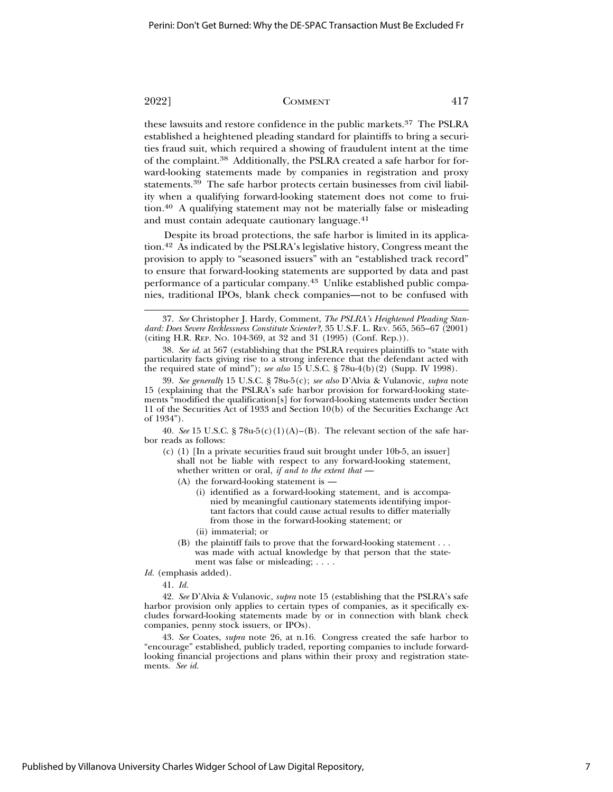these lawsuits and restore confidence in the public markets.37 The PSLRA established a heightened pleading standard for plaintiffs to bring a securities fraud suit, which required a showing of fraudulent intent at the time of the complaint.38 Additionally, the PSLRA created a safe harbor for forward-looking statements made by companies in registration and proxy statements.39 The safe harbor protects certain businesses from civil liability when a qualifying forward-looking statement does not come to fruition.40 A qualifying statement may not be materially false or misleading and must contain adequate cautionary language.41

Despite its broad protections, the safe harbor is limited in its application.42 As indicated by the PSLRA's legislative history, Congress meant the provision to apply to "seasoned issuers" with an "established track record" to ensure that forward-looking statements are supported by data and past performance of a particular company.43 Unlike established public companies, traditional IPOs, blank check companies—not to be confused with

40. *See* 15 U.S.C. § 78u-5(c)(1)(A)–(B). The relevant section of the safe harbor reads as follows:

- (c) (1) [In a private securities fraud suit brought under 10b-5, an issuer] shall not be liable with respect to any forward-looking statement, whether written or oral, *if and to the extent that* —
	- (A) the forward-looking statement is
		- (i) identified as a forward-looking statement, and is accompanied by meaningful cautionary statements identifying important factors that could cause actual results to differ materially from those in the forward-looking statement; or
		- (ii) immaterial; or
	- (B) the plaintiff fails to prove that the forward-looking statement . . . was made with actual knowledge by that person that the statement was false or misleading; . . . .

*Id.* (emphasis added).

41. *Id.*

42. *See* D'Alvia & Vulanovic, *supra* note 15 (establishing that the PSLRA's safe harbor provision only applies to certain types of companies, as it specifically excludes forward-looking statements made by or in connection with blank check companies, penny stock issuers, or IPOs).

43. *See* Coates, *supra* note 26, at n.16. Congress created the safe harbor to "encourage" established, publicly traded, reporting companies to include forwardlooking financial projections and plans within their proxy and registration statements. *See id.*

<sup>37.</sup> *See* Christopher J. Hardy, Comment, *The PSLRA's Heightened Pleading Standard: Does Severe Recklessness Constitute Scienter?*, 35 U.S.F. L. REV. 565, 565–67 (2001) (citing H.R. REP. NO. 104-369, at 32 and 31 (1995) (Conf. Rep.)).

<sup>38.</sup> *See id.* at 567 (establishing that the PSLRA requires plaintiffs to "state with particularity facts giving rise to a strong inference that the defendant acted with the required state of mind"); *see also* 15 U.S.C. § 78u-4(b)(2) (Supp. IV 1998).

<sup>39.</sup> *See generally* 15 U.S.C. § 78u-5(c); *see also* D'Alvia & Vulanovic, *supra* note 15 (explaining that the PSLRA's safe harbor provision for forward-looking statements "modified the qualification[s] for forward-looking statements under Section 11 of the Securities Act of 1933 and Section 10(b) of the Securities Exchange Act of 1934").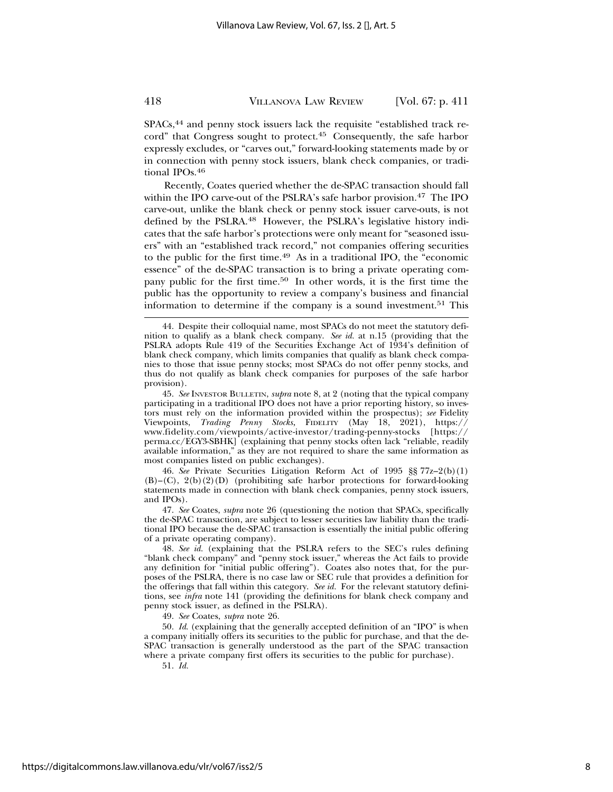SPACs,<sup>44</sup> and penny stock issuers lack the requisite "established track record" that Congress sought to protect.<sup>45</sup> Consequently, the safe harbor expressly excludes, or "carves out," forward-looking statements made by or in connection with penny stock issuers, blank check companies, or traditional IPOs.<sup>46</sup>

Recently, Coates queried whether the de-SPAC transaction should fall within the IPO carve-out of the PSLRA's safe harbor provision.47 The IPO carve-out, unlike the blank check or penny stock issuer carve-outs, is not defined by the PSLRA.48 However, the PSLRA's legislative history indicates that the safe harbor's protections were only meant for "seasoned issuers" with an "established track record," not companies offering securities to the public for the first time.49 As in a traditional IPO, the "economic essence" of the de-SPAC transaction is to bring a private operating company public for the first time.50 In other words, it is the first time the public has the opportunity to review a company's business and financial information to determine if the company is a sound investment.<sup>51</sup> This

46. *See* Private Securities Litigation Reform Act of 1995 §§ 77z–2(b)(1) (B)–(C), 2(b)(2)(D) (prohibiting safe harbor protections for forward-looking statements made in connection with blank check companies, penny stock issuers, and IPOs).

47. *See* Coates, *supra* note 26 (questioning the notion that SPACs, specifically the de-SPAC transaction, are subject to lesser securities law liability than the traditional IPO because the de-SPAC transaction is essentially the initial public offering of a private operating company).

48. *See id.* (explaining that the PSLRA refers to the SEC's rules defining "blank check company" and "penny stock issuer," whereas the Act fails to provide any definition for "initial public offering"). Coates also notes that, for the purposes of the PSLRA, there is no case law or SEC rule that provides a definition for the offerings that fall within this category. *See id.* For the relevant statutory definitions, see *infra* note 141 (providing the definitions for blank check company and penny stock issuer, as defined in the PSLRA).

49. *See* Coates, *supra* note 26.

50. *Id*. (explaining that the generally accepted definition of an "IPO" is when a company initially offers its securities to the public for purchase, and that the de-SPAC transaction is generally understood as the part of the SPAC transaction where a private company first offers its securities to the public for purchase).

51. *Id.*

<sup>44.</sup> Despite their colloquial name, most SPACs do not meet the statutory definition to qualify as a blank check company. *See id.* at n.15 (providing that the PSLRA adopts Rule 419 of the Securities Exchange Act of 1934's definition of blank check company, which limits companies that qualify as blank check companies to those that issue penny stocks; most SPACs do not offer penny stocks, and thus do not qualify as blank check companies for purposes of the safe harbor provision).

<sup>45.</sup> *See* INVESTOR BULLETIN, *supra* note 8, at 2 (noting that the typical company participating in a traditional IPO does not have a prior reporting history, so investors must rely on the information provided within the prospectus); *see* Fidelity Viewpoints, *Trading Penny Stocks*, FIDELITY (May 18, 2021), https:// www.fidelity.com/viewpoints/active-investor/trading-penny-stocks [https:// perma.cc/EGY3-SBHK] (explaining that penny stocks often lack "reliable, readily available information," as they are not required to share the same information as most companies listed on public exchanges).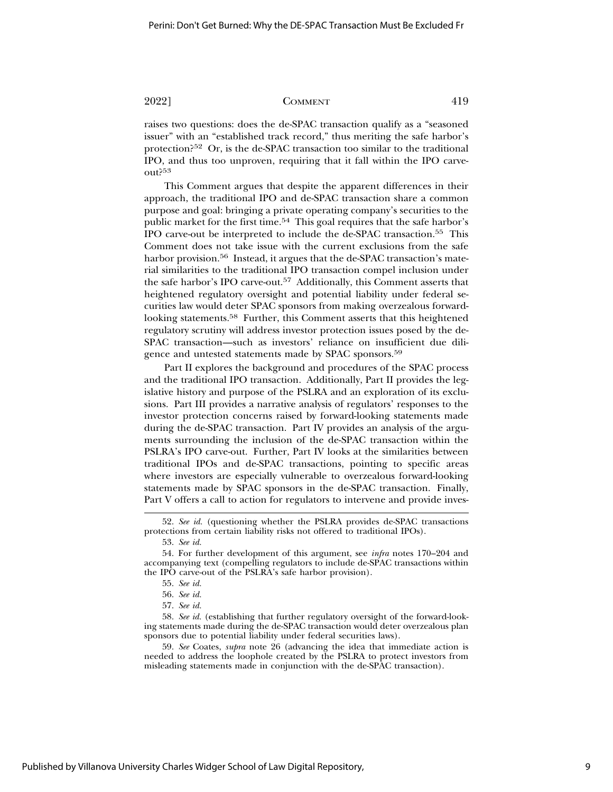raises two questions: does the de-SPAC transaction qualify as a "seasoned issuer" with an "established track record," thus meriting the safe harbor's protection?52 Or, is the de-SPAC transaction too similar to the traditional IPO, and thus too unproven, requiring that it fall within the IPO carveout?53

This Comment argues that despite the apparent differences in their approach, the traditional IPO and de-SPAC transaction share a common purpose and goal: bringing a private operating company's securities to the public market for the first time.<sup>54</sup> This goal requires that the safe harbor's IPO carve-out be interpreted to include the de-SPAC transaction.55 This Comment does not take issue with the current exclusions from the safe harbor provision.<sup>56</sup> Instead, it argues that the de-SPAC transaction's material similarities to the traditional IPO transaction compel inclusion under the safe harbor's IPO carve-out.57 Additionally, this Comment asserts that heightened regulatory oversight and potential liability under federal securities law would deter SPAC sponsors from making overzealous forwardlooking statements.58 Further, this Comment asserts that this heightened regulatory scrutiny will address investor protection issues posed by the de-SPAC transaction—such as investors' reliance on insufficient due diligence and untested statements made by SPAC sponsors.<sup>59</sup>

Part II explores the background and procedures of the SPAC process and the traditional IPO transaction. Additionally, Part II provides the legislative history and purpose of the PSLRA and an exploration of its exclusions. Part III provides a narrative analysis of regulators' responses to the investor protection concerns raised by forward-looking statements made during the de-SPAC transaction. Part IV provides an analysis of the arguments surrounding the inclusion of the de-SPAC transaction within the PSLRA's IPO carve-out. Further, Part IV looks at the similarities between traditional IPOs and de-SPAC transactions, pointing to specific areas where investors are especially vulnerable to overzealous forward-looking statements made by SPAC sponsors in the de-SPAC transaction. Finally, Part V offers a call to action for regulators to intervene and provide inves-

59. *See* Coates, *supra* note 26 (advancing the idea that immediate action is needed to address the loophole created by the PSLRA to protect investors from misleading statements made in conjunction with the de-SPAC transaction).

<sup>52.</sup> *See id.* (questioning whether the PSLRA provides de-SPAC transactions protections from certain liability risks not offered to traditional IPOs).

<sup>53.</sup> *See id.*

<sup>54.</sup> For further development of this argument, see *infra* notes 170–204 and accompanying text (compelling regulators to include de-SPAC transactions within the IPO carve-out of the PSLRA's safe harbor provision).

<sup>55.</sup> *See id.*

<sup>56.</sup> *See id.*

<sup>57.</sup> *See id.*

<sup>58.</sup> *See id.* (establishing that further regulatory oversight of the forward-looking statements made during the de-SPAC transaction would deter overzealous plan sponsors due to potential liability under federal securities laws).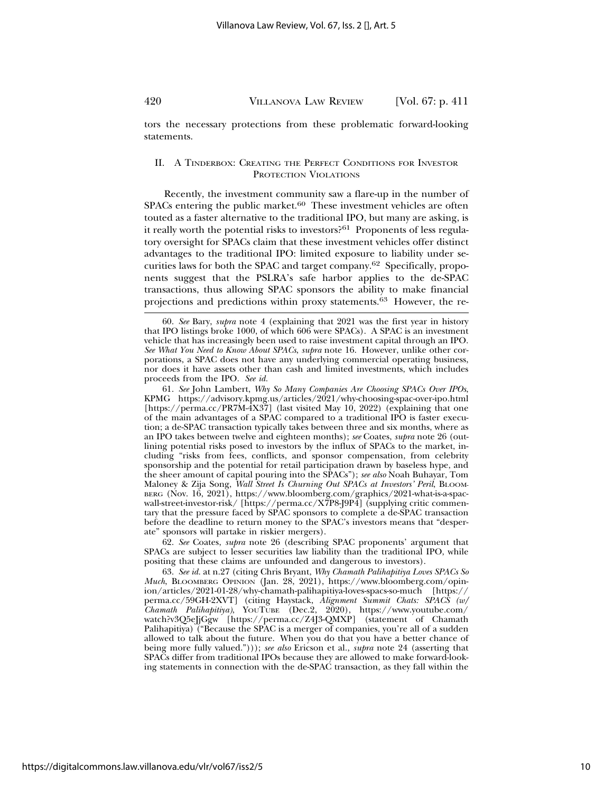tors the necessary protections from these problematic forward-looking statements.

# II. A TINDERBOX: CREATING THE PERFECT CONDITIONS FOR INVESTOR PROTECTION VIOLATIONS

Recently, the investment community saw a flare-up in the number of  $SPACs$  entering the public market.<sup>60</sup> These investment vehicles are often touted as a faster alternative to the traditional IPO, but many are asking, is it really worth the potential risks to investors?61 Proponents of less regulatory oversight for SPACs claim that these investment vehicles offer distinct advantages to the traditional IPO: limited exposure to liability under securities laws for both the SPAC and target company.62 Specifically, proponents suggest that the PSLRA's safe harbor applies to the de-SPAC transactions, thus allowing SPAC sponsors the ability to make financial projections and predictions within proxy statements.63 However, the re-

61. *See* John Lambert, *Why So Many Companies Are Choosing SPACs Over IPOs*, KPMG https://advisory.kpmg.us/articles/2021/why-choosing-spac-over-ipo.html [https://perma.cc/PR7M-4X37] (last visited May 10, 2022) (explaining that one of the main advantages of a SPAC compared to a traditional IPO is faster execution; a de-SPAC transaction typically takes between three and six months, where as an IPO takes between twelve and eighteen months); *see* Coates, *supra* note 26 (outlining potential risks posed to investors by the influx of SPACs to the market, including "risks from fees, conflicts, and sponsor compensation, from celebrity sponsorship and the potential for retail participation drawn by baseless hype, and the sheer amount of capital pouring into the SPACs"); *see also* Noah Buhayar, Tom Maloney & Zija Song, *Wall Street Is Churning Out SPACs at Investors' Peril*, BLOOM-BERG (Nov. 16, 2021), https://www.bloomberg.com/graphics/2021-what-is-a-spacwall-street-investor-risk/ [https://perma.cc/X7P8-J9P4] (supplying critic commentary that the pressure faced by SPAC sponsors to complete a de-SPAC transaction before the deadline to return money to the SPAC's investors means that "desperate" sponsors will partake in riskier mergers).

62. *See* Coates, *supra* note 26 (describing SPAC proponents' argument that SPACs are subject to lesser securities law liability than the traditional IPO, while positing that these claims are unfounded and dangerous to investors).

63. *See id.* at n.27 (citing Chris Bryant, *Why Chamath Palihapitiya Loves SPACs So Much*, BLOOMBERG OPINION (Jan. 28, 2021), https://www.bloomberg.com/opinion/articles/2021-01-28/why-chamath-palihapitiya-loves-spacs-so-much [https:// perma.cc/59GH-2XVT] (citing Haystack, *Alignment Summit Chats: SPACS (w/ Chamath Palihapitiya)*, YOUTUBE (Dec.2, 2020), https://www.youtube.com/ watch?v3Q5eJjGgw [https://perma.cc/Z4J3-QMXP] (statement of Chamath Palihapitiya) ("Because the SPAC is a merger of companies, you're all of a sudden allowed to talk about the future. When you do that you have a better chance of being more fully valued."))); *see also* Ericson et al., *supra* note 24 (asserting that SPACs differ from traditional IPOs because they are allowed to make forward-looking statements in connection with the de-SPAC transaction, as they fall within the

<sup>60.</sup> *See* Bary, *supra* note 4 (explaining that 2021 was the first year in history that IPO listings broke 1000, of which 606 were SPACs). A SPAC is an investment vehicle that has increasingly been used to raise investment capital through an IPO. *See What You Need to Know About SPACs*, *supra* note 16. However, unlike other corporations, a SPAC does not have any underlying commercial operating business, nor does it have assets other than cash and limited investments, which includes proceeds from the IPO. *See id.*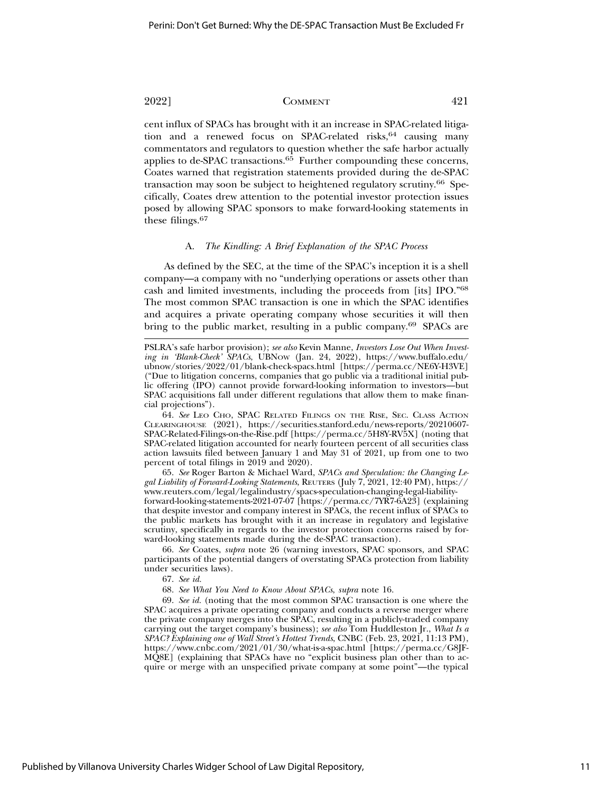cent influx of SPACs has brought with it an increase in SPAC-related litigation and a renewed focus on SPAC-related risks,  $64$  causing many commentators and regulators to question whether the safe harbor actually applies to de-SPAC transactions. $6\overline{5}$  Further compounding these concerns, Coates warned that registration statements provided during the de-SPAC transaction may soon be subject to heightened regulatory scrutiny.66 Specifically, Coates drew attention to the potential investor protection issues posed by allowing SPAC sponsors to make forward-looking statements in these filings.<sup>67</sup>

### A. *The Kindling: A Brief Explanation of the SPAC Process*

As defined by the SEC, at the time of the SPAC's inception it is a shell company—a company with no "underlying operations or assets other than cash and limited investments, including the proceeds from [its] IPO."68 The most common SPAC transaction is one in which the SPAC identifies and acquires a private operating company whose securities it will then bring to the public market, resulting in a public company.69 SPACs are

64. *See* LEO CHO, SPAC RELATED FILINGS ON THE RISE, SEC. CLASS ACTION CLEARINGHOUSE (2021), https://securities.stanford.edu/news-reports/20210607- SPAC-Related-Filings-on-the-Rise.pdf [https://perma.cc/5H8Y-RV5X] (noting that SPAC-related litigation accounted for nearly fourteen percent of all securities class action lawsuits filed between January 1 and May 31 of 2021, up from one to two percent of total filings in 2019 and 2020).

65. *See* Roger Barton & Michael Ward, *SPACs and Speculation: the Changing Legal Liability of Forward-Looking Statements*, REUTERS (July 7, 2021, 12:40 PM), https:// www.reuters.com/legal/legalindustry/spacs-speculation-changing-legal-liabilityforward-looking-statements-2021-07-07 [https://perma.cc/7YR7-6A23] (explaining that despite investor and company interest in SPACs, the recent influx of SPACs to the public markets has brought with it an increase in regulatory and legislative scrutiny, specifically in regards to the investor protection concerns raised by forward-looking statements made during the de-SPAC transaction).

66. *See* Coates, *supra* note 26 (warning investors, SPAC sponsors, and SPAC participants of the potential dangers of overstating SPACs protection from liability under securities laws).

67. *See id.*

68. *See What You Need to Know About SPACs*, *supra* note 16.

69. *See id.* (noting that the most common SPAC transaction is one where the SPAC acquires a private operating company and conducts a reverse merger where the private company merges into the SPAC, resulting in a publicly-traded company carrying out the target company's business); *see also* Tom Huddleston Jr., *What Is a SPAC? Explaining one of Wall Street's Hottest Trends*, CNBC (Feb. 23, 2021, 11:13 PM), https://www.cnbc.com/2021/01/30/what-is-a-spac.html [https://perma.cc/G8JF-MQ8E] (explaining that SPACs have no "explicit business plan other than to acquire or merge with an unspecified private company at some point"—the typical

PSLRA's safe harbor provision); *see also* Kevin Manne, *Investors Lose Out When Investing in 'Blank-Check' SPACs*, UBNOW (Jan. 24, 2022), https://www.buffalo.edu/ ubnow/stories/2022/01/blank-check-spacs.html [https://perma.cc/NE6Y-H3VE] ("Due to litigation concerns, companies that go public via a traditional initial public offering (IPO) cannot provide forward-looking information to investors—but SPAC acquisitions fall under different regulations that allow them to make financial projections").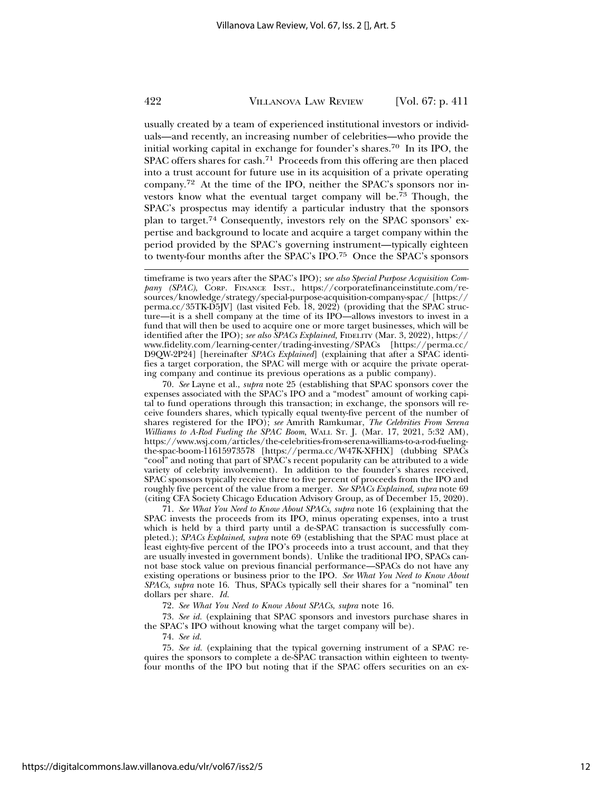usually created by a team of experienced institutional investors or individuals—and recently, an increasing number of celebrities—who provide the initial working capital in exchange for founder's shares.70 In its IPO, the SPAC offers shares for cash.71 Proceeds from this offering are then placed into a trust account for future use in its acquisition of a private operating company.72 At the time of the IPO, neither the SPAC's sponsors nor investors know what the eventual target company will be.<sup>73</sup> Though, the SPAC's prospectus may identify a particular industry that the sponsors plan to target.74 Consequently, investors rely on the SPAC sponsors' expertise and background to locate and acquire a target company within the period provided by the SPAC's governing instrument—typically eighteen to twenty-four months after the SPAC's IPO.75 Once the SPAC's sponsors

70. *See* Layne et al., *supra* note 25 (establishing that SPAC sponsors cover the expenses associated with the SPAC's IPO and a "modest" amount of working capital to fund operations through this transaction; in exchange, the sponsors will receive founders shares, which typically equal twenty-five percent of the number of shares registered for the IPO); *see* Amrith Ramkumar, *The Celebrities From Serena Williams to A-Rod Fueling the SPAC Boom*, WALL ST. J. (Mar. 17, 2021, 5:32 AM), https://www.wsj.com/articles/the-celebrities-from-serena-williams-to-a-rod-fuelingthe-spac-boom-11615973578 [https://perma.cc/W47K-XFHX] (dubbing SPACs "cool" and noting that part of SPAC's recent popularity can be attributed to a wide variety of celebrity involvement). In addition to the founder's shares received, SPAC sponsors typically receive three to five percent of proceeds from the IPO and roughly five percent of the value from a merger. *See SPACs Explained*, *supra* note 69 (citing CFA Society Chicago Education Advisory Group, as of December 15, 2020).

71. *See What You Need to Know About SPACs*, *supra* note 16 (explaining that the SPAC invests the proceeds from its IPO, minus operating expenses, into a trust which is held by a third party until a de-SPAC transaction is successfully completed.); *SPACs Explained*, *supra* note 69 (establishing that the SPAC must place at least eighty-five percent of the IPO's proceeds into a trust account, and that they are usually invested in government bonds). Unlike the traditional IPO, SPACs cannot base stock value on previous financial performance—SPACs do not have any existing operations or business prior to the IPO. *See What You Need to Know About SPACs*, *supra* note 16. Thus, SPACs typically sell their shares for a "nominal" ten dollars per share. *Id.*

72. *See What You Need to Know About SPACs*, *supra* note 16.

73. *See id.* (explaining that SPAC sponsors and investors purchase shares in the SPAC's IPO without knowing what the target company will be).

74. *See id.*

75. *See id.* (explaining that the typical governing instrument of a SPAC requires the sponsors to complete a de-SPAC transaction within eighteen to twentyfour months of the IPO but noting that if the SPAC offers securities on an ex-

timeframe is two years after the SPAC's IPO); *see also Special Purpose Acquisition Company (SPAC)*, CORP. FINANCE INST., https://corporatefinanceinstitute.com/resources/knowledge/strategy/special-purpose-acquisition-company-spac/ [https:// perma.cc/35TK-D5JV] (last visited Feb. 18, 2022) (providing that the SPAC structure—it is a shell company at the time of its IPO—allows investors to invest in a fund that will then be used to acquire one or more target businesses, which will be identified after the IPO); *see also SPACs Explained,* FIDELITY (Mar. 3, 2022), https:// www.fidelity.com/learning-center/trading-investing/SPACs [https://perma.cc/ D9QW-2P24] [hereinafter *SPACs Explained*] (explaining that after a SPAC identifies a target corporation, the SPAC will merge with or acquire the private operating company and continue its previous operations as a public company).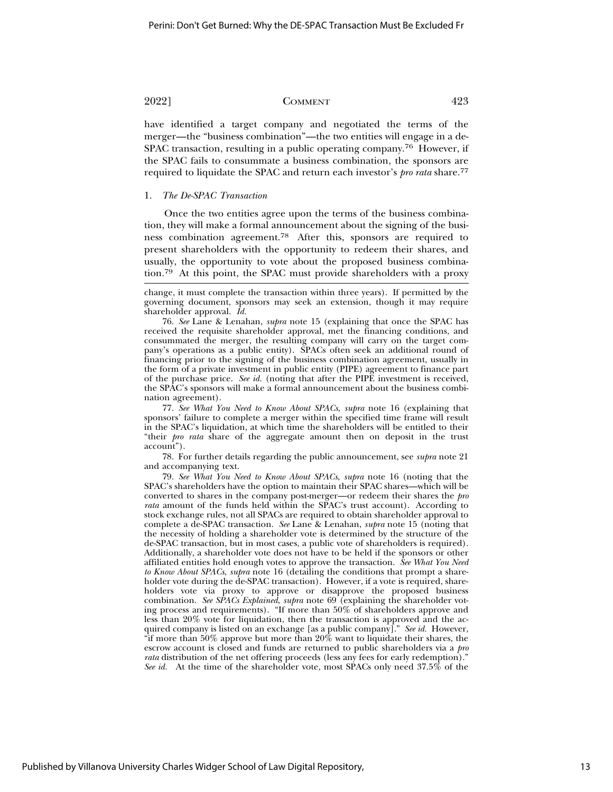have identified a target company and negotiated the terms of the merger—the "business combination"—the two entities will engage in a de-SPAC transaction, resulting in a public operating company.<sup>76</sup> However, if the SPAC fails to consummate a business combination, the sponsors are required to liquidate the SPAC and return each investor's *pro rata* share.<sup>77</sup>

### 1. *The De-SPAC Transaction*

Once the two entities agree upon the terms of the business combination, they will make a formal announcement about the signing of the business combination agreement.78 After this, sponsors are required to present shareholders with the opportunity to redeem their shares, and usually, the opportunity to vote about the proposed business combination.79 At this point, the SPAC must provide shareholders with a proxy

76. *See* Lane & Lenahan, *supra* note 15 (explaining that once the SPAC has received the requisite shareholder approval, met the financing conditions, and consummated the merger, the resulting company will carry on the target company's operations as a public entity). SPACs often seek an additional round of financing prior to the signing of the business combination agreement, usually in the form of a private investment in public entity (PIPE) agreement to finance part of the purchase price. *See id.* (noting that after the PIPE investment is received, the SPAC's sponsors will make a formal announcement about the business combination agreement).

77. *See What You Need to Know About SPACs*, *supra* note 16 (explaining that sponsors' failure to complete a merger within the specified time frame will result in the SPAC's liquidation, at which time the shareholders will be entitled to their "their *pro rata* share of the aggregate amount then on deposit in the trust account").

78. For further details regarding the public announcement, see *supra* note 21 and accompanying text.

79. *See What You Need to Know About SPACs*, *supra* note 16 (noting that the SPAC's shareholders have the option to maintain their SPAC shares—which will be converted to shares in the company post-merger—or redeem their shares the *pro rata* amount of the funds held within the SPAC's trust account). According to stock exchange rules, not all SPACs are required to obtain shareholder approval to complete a de-SPAC transaction. *See* Lane & Lenahan, *supra* note 15 (noting that the necessity of holding a shareholder vote is determined by the structure of the de-SPAC transaction, but in most cases, a public vote of shareholders is required). Additionally, a shareholder vote does not have to be held if the sponsors or other affiliated entities hold enough votes to approve the transaction. *See What You Need to Know About SPACs*, *supra* note 16 (detailing the conditions that prompt a shareholder vote during the de-SPAC transaction). However, if a vote is required, shareholders vote via proxy to approve or disapprove the proposed business combination. *See SPACs Explained*, *supra* note 69 (explaining the shareholder voting process and requirements). "If more than 50% of shareholders approve and less than 20% vote for liquidation, then the transaction is approved and the acquired company is listed on an exchange [as a public company]." *See id.* However, "if more than 50% approve but more than 20% want to liquidate their shares, the escrow account is closed and funds are returned to public shareholders via a *pro rata* distribution of the net offering proceeds (less any fees for early redemption)." *See id.* At the time of the shareholder vote, most SPACs only need 37.5% of the

change, it must complete the transaction within three years). If permitted by the governing document, sponsors may seek an extension, though it may require shareholder approval. *Id.*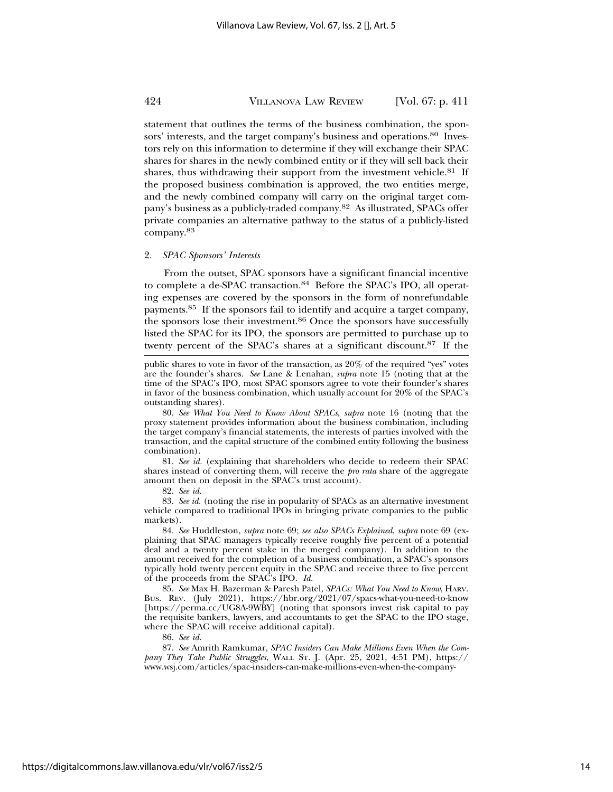statement that outlines the terms of the business combination, the sponsors' interests, and the target company's business and operations.<sup>80</sup> Investors rely on this information to determine if they will exchange their SPAC shares for shares in the newly combined entity or if they will sell back their shares, thus withdrawing their support from the investment vehicle. $81$  If the proposed business combination is approved, the two entities merge, and the newly combined company will carry on the original target company's business as a publicly-traded company.82 As illustrated, SPACs offer private companies an alternative pathway to the status of a publicly-listed company.83

### 2. *SPAC Sponsors' Interests*

From the outset, SPAC sponsors have a significant financial incentive to complete a de-SPAC transaction.<sup>84</sup> Before the SPAC's IPO, all operating expenses are covered by the sponsors in the form of nonrefundable payments.85 If the sponsors fail to identify and acquire a target company, the sponsors lose their investment.86 Once the sponsors have successfully listed the SPAC for its IPO, the sponsors are permitted to purchase up to twenty percent of the SPAC's shares at a significant discount.87 If the

80. *See What You Need to Know About SPACs*, *supra* note 16 (noting that the proxy statement provides information about the business combination, including the target company's financial statements, the interests of parties involved with the transaction, and the capital structure of the combined entity following the business combination).

81. *See id.* (explaining that shareholders who decide to redeem their SPAC shares instead of converting them, will receive the *pro rata* share of the aggregate amount then on deposit in the SPAC's trust account).

82. *See id.*

83. *See id.* (noting the rise in popularity of SPACs as an alternative investment vehicle compared to traditional IPOs in bringing private companies to the public markets).

84. *See* Huddleston, *supra* note 69; *see also SPACs Explained*, *supra* note 69 (explaining that SPAC managers typically receive roughly five percent of a potential deal and a twenty percent stake in the merged company). In addition to the amount received for the completion of a business combination, a SPAC's sponsors typically hold twenty percent equity in the SPAC and receive three to five percent of the proceeds from the SPAC's IPO. *Id.*

85. *See* Max H. Bazerman & Paresh Patel, *SPACs: What You Need to Know*, HARV. BUS. REV. (July 2021), https://hbr.org/2021/07/spacs-what-you-need-to-know [https://perma.cc/UG8A-9WBY] (noting that sponsors invest risk capital to pay the requisite bankers, lawyers, and accountants to get the SPAC to the IPO stage, where the SPAC will receive additional capital).

86. *See id.*

87. *See* Amrith Ramkumar, *SPAC Insiders Can Make Millions Even When the Company They Take Public Struggles*, WALL ST. J. (Apr. 25, 2021, 4:51 PM), https:// www.wsj.com/articles/spac-insiders-can-make-millions-even-when-the-company-

public shares to vote in favor of the transaction, as 20% of the required "yes" votes are the founder's shares. *See* Lane & Lenahan, *supra* note 15 (noting that at the time of the SPAC's IPO, most SPAC sponsors agree to vote their founder's shares in favor of the business combination, which usually account for 20% of the SPAC's outstanding shares).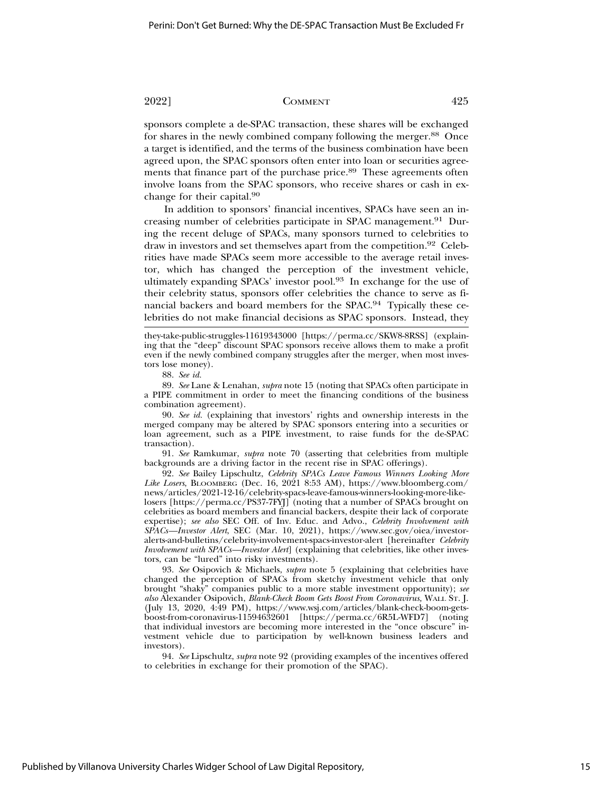sponsors complete a de-SPAC transaction, these shares will be exchanged for shares in the newly combined company following the merger.88 Once a target is identified, and the terms of the business combination have been agreed upon, the SPAC sponsors often enter into loan or securities agreements that finance part of the purchase price.<sup>89</sup> These agreements often involve loans from the SPAC sponsors, who receive shares or cash in exchange for their capital.90

In addition to sponsors' financial incentives, SPACs have seen an increasing number of celebrities participate in SPAC management.<sup>91</sup> During the recent deluge of SPACs, many sponsors turned to celebrities to draw in investors and set themselves apart from the competition.92 Celebrities have made SPACs seem more accessible to the average retail investor, which has changed the perception of the investment vehicle, ultimately expanding SPACs' investor pool.<sup>93</sup> In exchange for the use of their celebrity status, sponsors offer celebrities the chance to serve as financial backers and board members for the SPAC.<sup>94</sup> Typically these celebrities do not make financial decisions as SPAC sponsors. Instead, they

89. *See* Lane & Lenahan, *supra* note 15 (noting that SPACs often participate in a PIPE commitment in order to meet the financing conditions of the business combination agreement).

90. *See id.* (explaining that investors' rights and ownership interests in the merged company may be altered by SPAC sponsors entering into a securities or loan agreement, such as a PIPE investment, to raise funds for the de-SPAC transaction).

91. *See* Ramkumar, *supra* note 70 (asserting that celebrities from multiple backgrounds are a driving factor in the recent rise in SPAC offerings).

92. *See* Bailey Lipschultz, *Celebrity SPACs Leave Famous Winners Looking More* Like Losers, BLOOMBERG (Dec. 16, 2021 8:53 AM), https://www.bloomberg.com/ news/articles/2021-12-16/celebrity-spacs-leave-famous-winners-looking-more-likelosers [https://perma.cc/PS37-7FYJ] (noting that a number of SPACs brought on celebrities as board members and financial backers, despite their lack of corporate expertise); *see also* SEC Off. of Inv. Educ. and Advo., *Celebrity Involvement with SPACs—Investor Alert*, SEC (Mar. 10, 2021), https://www.sec.gov/oiea/investoralerts-and-bulletins/celebrity-involvement-spacs-investor-alert [hereinafter *Celebrity Involvement with SPACs—Investor Alert*] (explaining that celebrities, like other investors, can be "lured" into risky investments).

93. *See* Osipovich & Michaels, *supra* note 5 (explaining that celebrities have changed the perception of SPACs from sketchy investment vehicle that only brought "shaky" companies public to a more stable investment opportunity); *see also* Alexander Osipovich, *Blank-Check Boom Gets Boost From Coronavirus,* WALL ST. J. (July 13, 2020, 4:49 PM), https://www.wsj.com/articles/blank-check-boom-getsboost-from-coronavirus-11594632601 [https://perma.cc/6R5L-WFD7] (noting that individual investors are becoming more interested in the "once obscure" investment vehicle due to participation by well-known business leaders and investors).

94. *See* Lipschultz, *supra* note 92 (providing examples of the incentives offered to celebrities in exchange for their promotion of the SPAC).

they-take-public-struggles-11619343000 [https://perma.cc/SKW8-8RSS] (explaining that the "deep" discount SPAC sponsors receive allows them to make a profit even if the newly combined company struggles after the merger, when most investors lose money).

<sup>88.</sup> *See id.*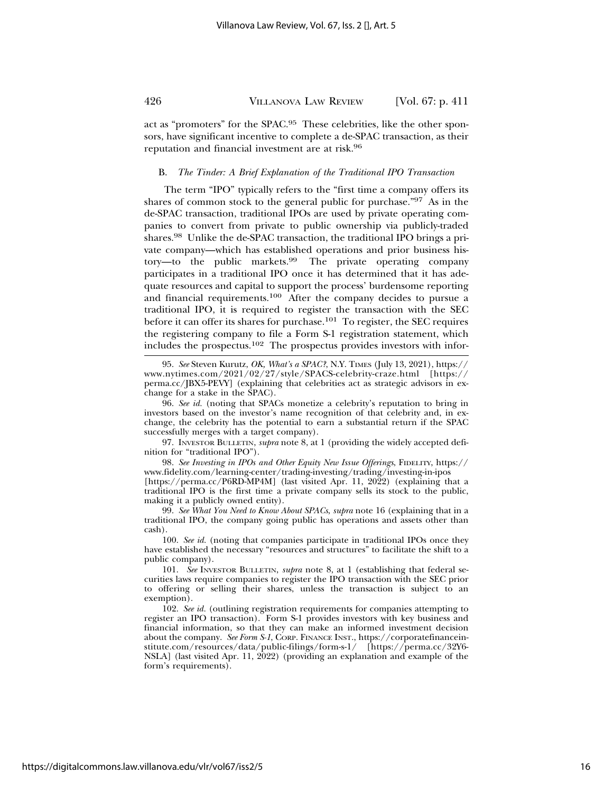act as "promoters" for the SPAC.95 These celebrities, like the other sponsors, have significant incentive to complete a de-SPAC transaction, as their reputation and financial investment are at risk.96

### B. *The Tinder: A Brief Explanation of the Traditional IPO Transaction*

The term "IPO" typically refers to the "first time a company offers its shares of common stock to the general public for purchase."97 As in the de-SPAC transaction, traditional IPOs are used by private operating companies to convert from private to public ownership via publicly-traded shares.98 Unlike the de-SPAC transaction, the traditional IPO brings a private company—which has established operations and prior business history—to the public markets.99 The private operating company participates in a traditional IPO once it has determined that it has adequate resources and capital to support the process' burdensome reporting and financial requirements.100 After the company decides to pursue a traditional IPO, it is required to register the transaction with the SEC before it can offer its shares for purchase.101 To register, the SEC requires the registering company to file a Form S-1 registration statement, which includes the prospectus.102 The prospectus provides investors with infor-

97. INVESTOR BULLETIN, *supra* note 8, at 1 (providing the widely accepted definition for "traditional IPO").

98. *See Investing in IPOs and Other Equity New Issue Offerings*, FIDELITY, https:// www.fidelity.com/learning-center/trading-investing/trading/investing-in-ipos [https://perma.cc/P6RD-MP4M] (last visited Apr. 11, 2022) (explaining that a

traditional IPO is the first time a private company sells its stock to the public, making it a publicly owned entity).

99. *See What You Need to Know About SPACs*, *supra* note 16 (explaining that in a traditional IPO, the company going public has operations and assets other than cash).

100. *See id.* (noting that companies participate in traditional IPOs once they have established the necessary "resources and structures" to facilitate the shift to a public company).

101. *See* INVESTOR BULLETIN, *supra* note 8, at 1 (establishing that federal securities laws require companies to register the IPO transaction with the SEC prior to offering or selling their shares, unless the transaction is subject to an exemption).

102. *See id.* (outlining registration requirements for companies attempting to register an IPO transaction). Form S-1 provides investors with key business and financial information, so that they can make an informed investment decision about the company. *See Form S-1*, CORP. FINANCE INST., https://corporatefinanceinstitute.com/resources/data/public-filings/form-s-1/ [https://perma.cc/32Y6- NSLA] (last visited Apr. 11, 2022) (providing an explanation and example of the form's requirements).

<sup>95.</sup> *See* Steven Kurutz, *OK, What's a SPAC?*, N.Y. TIMES (July 13, 2021), https:// www.nytimes.com/2021/02/27/style/SPACS-celebrity-craze.html [https:// perma.cc/JBX5-PEVY] (explaining that celebrities act as strategic advisors in exchange for a stake in the SPAC).

<sup>96.</sup> *See id.* (noting that SPACs monetize a celebrity's reputation to bring in investors based on the investor's name recognition of that celebrity and, in exchange, the celebrity has the potential to earn a substantial return if the SPAC successfully merges with a target company).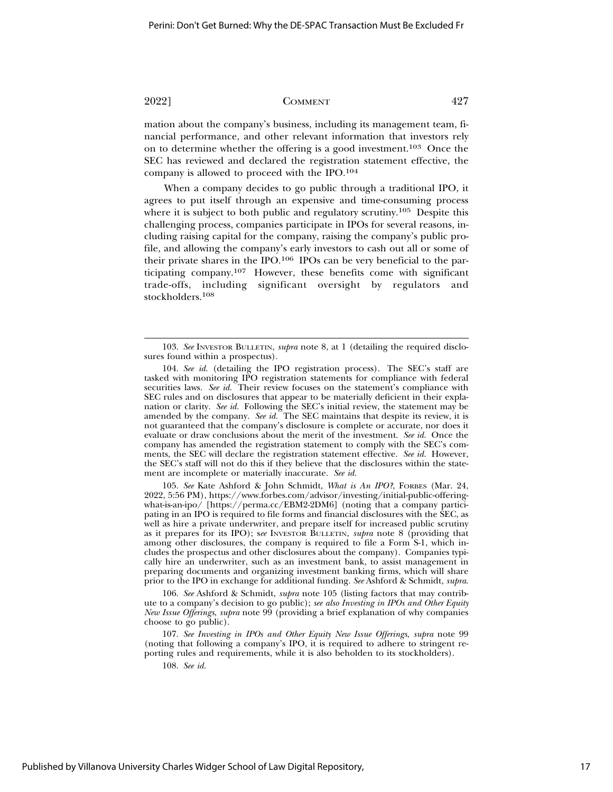mation about the company's business, including its management team, financial performance, and other relevant information that investors rely on to determine whether the offering is a good investment.103 Once the SEC has reviewed and declared the registration statement effective, the company is allowed to proceed with the IPO.<sup>104</sup>

When a company decides to go public through a traditional IPO, it agrees to put itself through an expensive and time-consuming process where it is subject to both public and regulatory scrutiny.<sup>105</sup> Despite this challenging process, companies participate in IPOs for several reasons, including raising capital for the company, raising the company's public profile, and allowing the company's early investors to cash out all or some of their private shares in the IPO.106 IPOs can be very beneficial to the participating company.107 However, these benefits come with significant trade-offs, including significant oversight by regulators and stockholders.108

105. *See* Kate Ashford & John Schmidt, *What is An IPO?*, FORBES (Mar. 24, 2022, 5:56 PM), https://www.forbes.com/advisor/investing/initial-public-offeringwhat-is-an-ipo/ [https://perma.cc/EBM2-2DM6] (noting that a company participating in an IPO is required to file forms and financial disclosures with the SEC, as well as hire a private underwriter, and prepare itself for increased public scrutiny as it prepares for its IPO); s*ee* INVESTOR BULLETIN, *supra* note 8 (providing that among other disclosures, the company is required to file a Form S-1, which includes the prospectus and other disclosures about the company). Companies typically hire an underwriter, such as an investment bank, to assist management in preparing documents and organizing investment banking firms, which will share prior to the IPO in exchange for additional funding. *See* Ashford & Schmidt, *supra*.

106. *See* Ashford & Schmidt, *supra* note 105 (listing factors that may contribute to a company's decision to go public); *see also Investing in IPOs and Other Equity New Issue Offerings*, *supra* note 99 (providing a brief explanation of why companies choose to go public).

<sup>103.</sup> *See* INVESTOR BULLETIN, *supra* note 8, at 1 (detailing the required disclosures found within a prospectus).

<sup>104.</sup> *See id.* (detailing the IPO registration process). The SEC's staff are tasked with monitoring IPO registration statements for compliance with federal securities laws. *See id.* Their review focuses on the statement's compliance with SEC rules and on disclosures that appear to be materially deficient in their explanation or clarity. See id. Following the SEC's initial review, the statement may be amended by the company. *See id.* The SEC maintains that despite its review, it is not guaranteed that the company's disclosure is complete or accurate, nor does it evaluate or draw conclusions about the merit of the investment. *See id.* Once the company has amended the registration statement to comply with the SEC's comments, the SEC will declare the registration statement effective. *See id.* However, the SEC's staff will not do this if they believe that the disclosures within the statement are incomplete or materially inaccurate. *See id.*

<sup>107.</sup> *See Investing in IPOs and Other Equity New Issue Offerings*, *supra* note 99 (noting that following a company's IPO, it is required to adhere to stringent reporting rules and requirements, while it is also beholden to its stockholders).

<sup>108.</sup> *See id.*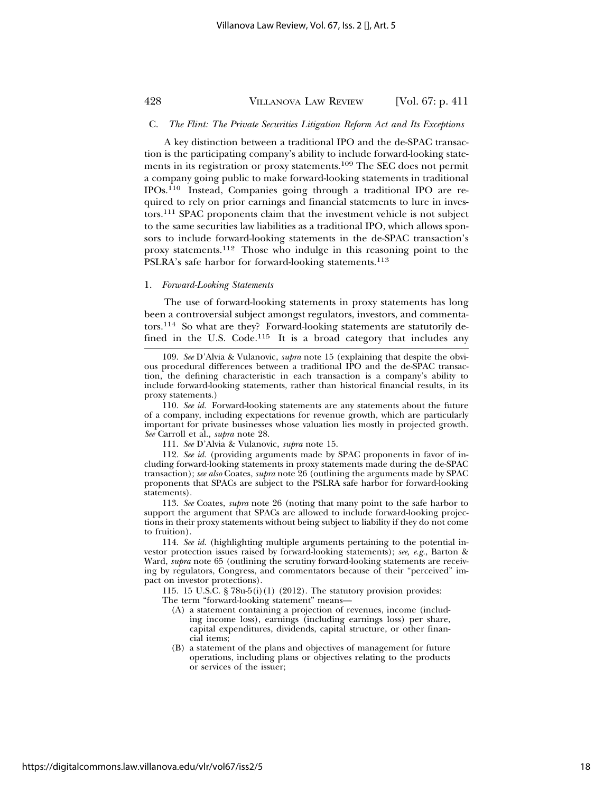### C. *The Flint: The Private Securities Litigation Reform Act and Its Exceptions*

A key distinction between a traditional IPO and the de-SPAC transaction is the participating company's ability to include forward-looking statements in its registration or proxy statements.<sup>109</sup> The SEC does not permit a company going public to make forward-looking statements in traditional IPOs.110 Instead, Companies going through a traditional IPO are required to rely on prior earnings and financial statements to lure in investors.111 SPAC proponents claim that the investment vehicle is not subject to the same securities law liabilities as a traditional IPO, which allows sponsors to include forward-looking statements in the de-SPAC transaction's proxy statements.112 Those who indulge in this reasoning point to the PSLRA's safe harbor for forward-looking statements.<sup>113</sup>

### 1. *Forward-Looking Statements*

The use of forward-looking statements in proxy statements has long been a controversial subject amongst regulators, investors, and commentators.114 So what are they? Forward-looking statements are statutorily defined in the U.S. Code.<sup>115</sup> It is a broad category that includes any

109. *See* D'Alvia & Vulanovic, *supra* note 15 (explaining that despite the obvious procedural differences between a traditional IPO and the de-SPAC transaction, the defining characteristic in each transaction is a company's ability to include forward-looking statements, rather than historical financial results, in its proxy statements.)

110. *See id.* Forward-looking statements are any statements about the future of a company, including expectations for revenue growth, which are particularly important for private businesses whose valuation lies mostly in projected growth. *See* Carroll et al., *supra* note 28.

112. *See id.* (providing arguments made by SPAC proponents in favor of including forward-looking statements in proxy statements made during the de-SPAC transaction); *see also* Coates, *supra* note 26 (outlining the arguments made by SPAC proponents that SPACs are subject to the PSLRA safe harbor for forward-looking statements).

113. *See* Coates, *supra* note 26 (noting that many point to the safe harbor to support the argument that SPACs are allowed to include forward-looking projections in their proxy statements without being subject to liability if they do not come to fruition).

114. *See id.* (highlighting multiple arguments pertaining to the potential investor protection issues raised by forward-looking statements); *see, e.g.*, Barton & Ward, *supra* note 65 (outlining the scrutiny forward-looking statements are receiving by regulators, Congress, and commentators because of their "perceived" impact on investor protections).

115. 15 U.S.C. § 78u-5(i)(1) (2012). The statutory provision provides: The term "forward-looking statement" means—

- (A) a statement containing a projection of revenues, income (including income loss), earnings (including earnings loss) per share, capital expenditures, dividends, capital structure, or other financial items;
- (B) a statement of the plans and objectives of management for future operations, including plans or objectives relating to the products or services of the issuer;

<sup>111.</sup> *See* D'Alvia & Vulanovic, *supra* note 15.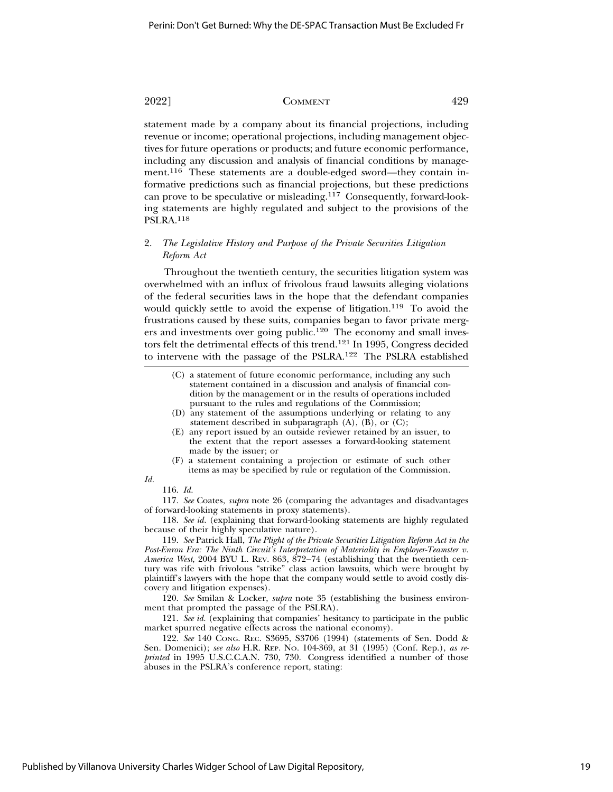statement made by a company about its financial projections, including revenue or income; operational projections, including management objectives for future operations or products; and future economic performance, including any discussion and analysis of financial conditions by management.116 These statements are a double-edged sword—they contain informative predictions such as financial projections, but these predictions can prove to be speculative or misleading.117 Consequently, forward-looking statements are highly regulated and subject to the provisions of the PSLRA.118

# 2. *The Legislative History and Purpose of the Private Securities Litigation Reform Act*

Throughout the twentieth century, the securities litigation system was overwhelmed with an influx of frivolous fraud lawsuits alleging violations of the federal securities laws in the hope that the defendant companies would quickly settle to avoid the expense of litigation.<sup>119</sup> To avoid the frustrations caused by these suits, companies began to favor private mergers and investments over going public.120 The economy and small investors felt the detrimental effects of this trend.121 In 1995, Congress decided to intervene with the passage of the PSLRA.122 The PSLRA established

- (C) a statement of future economic performance, including any such statement contained in a discussion and analysis of financial condition by the management or in the results of operations included pursuant to the rules and regulations of the Commission;
- (D) any statement of the assumptions underlying or relating to any statement described in subparagraph  $(A)$ ,  $(B)$ , or  $(C)$ ;
- (E) any report issued by an outside reviewer retained by an issuer, to the extent that the report assesses a forward-looking statement made by the issuer; or
- (F) a statement containing a projection or estimate of such other items as may be specified by rule or regulation of the Commission.

*Id.* 116. *Id.*

117. *See* Coates, *supra* note 26 (comparing the advantages and disadvantages of forward-looking statements in proxy statements).

118. *See id.* (explaining that forward-looking statements are highly regulated because of their highly speculative nature).

119. *See* Patrick Hall, *The Plight of the Private Securities Litigation Reform Act in the Post-Enron Era: The Ninth Circuit's Interpretation of Materiality in Employer-Teamster v. America West*, 2004 BYU L. REV. 863, 872–74 (establishing that the twentieth century was rife with frivolous "strike" class action lawsuits, which were brought by plaintiff's lawyers with the hope that the company would settle to avoid costly discovery and litigation expenses).

120. *See* Smilan & Locker, *supra* note 35 (establishing the business environment that prompted the passage of the PSLRA).

121. *See id.* (explaining that companies' hesitancy to participate in the public market spurred negative effects across the national economy).

122. *See* 140 CONG. REC. S3695, S3706 (1994) (statements of Sen. Dodd & Sen. Domenici); *see also* H.R. REP. NO. 104-369, at 31 (1995) (Conf. Rep.), *as reprinted* in 1995 U.S.C.C.A.N. 730, 730. Congress identified a number of those abuses in the PSLRA's conference report, stating: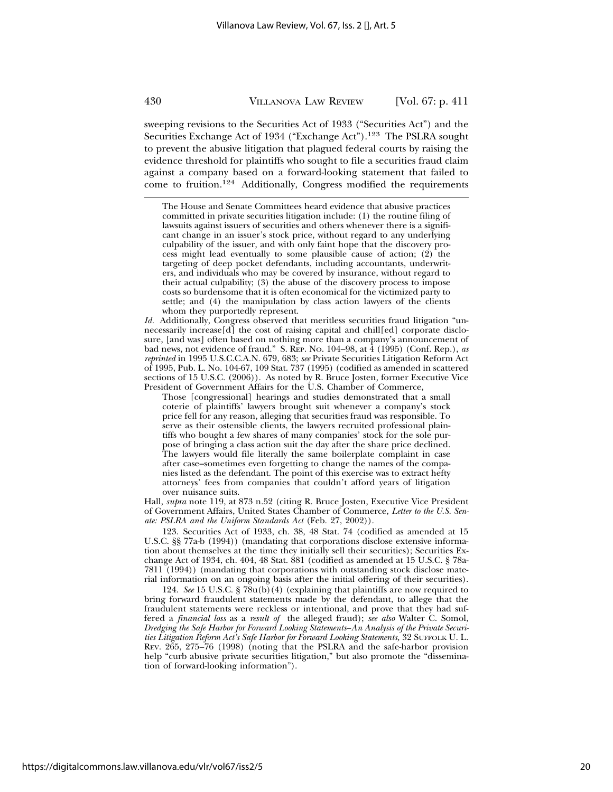sweeping revisions to the Securities Act of 1933 ("Securities Act") and the Securities Exchange Act of 1934 ("Exchange Act").<sup>123</sup> The PSLRA sought to prevent the abusive litigation that plagued federal courts by raising the evidence threshold for plaintiffs who sought to file a securities fraud claim against a company based on a forward-looking statement that failed to come to fruition.124 Additionally, Congress modified the requirements

*Id.* Additionally, Congress observed that meritless securities fraud litigation "unnecessarily increase[d] the cost of raising capital and chill[ed] corporate disclosure, [and was] often based on nothing more than a company's announcement of bad news, not evidence of fraud." S. REP. No. 104-98, at 4 (1995) (Conf. Rep.), *as reprinted* in 1995 U.S.C.C.A.N. 679, 683; *see* Private Securities Litigation Reform Act of 1995, Pub. L. No. 104-67, 109 Stat. 737 (1995) (codified as amended in scattered sections of 15 U.S.C. (2006)). As noted by R. Bruce Josten, former Executive Vice President of Government Affairs for the U.S. Chamber of Commerce,

Those [congressional] hearings and studies demonstrated that a small coterie of plaintiffs' lawyers brought suit whenever a company's stock price fell for any reason, alleging that securities fraud was responsible. To serve as their ostensible clients, the lawyers recruited professional plaintiffs who bought a few shares of many companies' stock for the sole purpose of bringing a class action suit the day after the share price declined. The lawyers would file literally the same boilerplate complaint in case after case–sometimes even forgetting to change the names of the companies listed as the defendant. The point of this exercise was to extract hefty attorneys' fees from companies that couldn't afford years of litigation over nuisance suits.

Hall, *supra* note 119, at 873 n.52 (citing R. Bruce Josten, Executive Vice President of Government Affairs, United States Chamber of Commerce, *Letter to the U.S. Senate: PSLRA and the Uniform Standards Act* (Feb. 27, 2002)).

123. Securities Act of 1933, ch. 38, 48 Stat. 74 (codified as amended at 15 U.S.C. §§ 77a-b (1994)) (mandating that corporations disclose extensive information about themselves at the time they initially sell their securities); Securities Exchange Act of 1934, ch. 404, 48 Stat. 881 (codified as amended at 15 U.S.C. § 78a-7811 (1994)) (mandating that corporations with outstanding stock disclose material information on an ongoing basis after the initial offering of their securities).

124. *See* 15 U.S.C. § 78u(b)(4) (explaining that plaintiffs are now required to bring forward fraudulent statements made by the defendant, to allege that the fraudulent statements were reckless or intentional, and prove that they had suffered a *financial loss* as a *result of* the alleged fraud); *see also* Walter C. Somol, *Dredging the Safe Harbor for Forward Looking Statements*–*An Analysis of the Private Securities Litigation Reform Act's Safe Harbor for Forward Looking Statements,* 32 SUFFOLK U. L. REV. 265, 275–76 (1998) (noting that the PSLRA and the safe-harbor provision help "curb abusive private securities litigation," but also promote the "dissemination of forward-looking information").

The House and Senate Committees heard evidence that abusive practices committed in private securities litigation include: (1) the routine filing of lawsuits against issuers of securities and others whenever there is a significant change in an issuer's stock price, without regard to any underlying culpability of the issuer, and with only faint hope that the discovery process might lead eventually to some plausible cause of action; (2) the targeting of deep pocket defendants, including accountants, underwriters, and individuals who may be covered by insurance, without regard to their actual culpability; (3) the abuse of the discovery process to impose costs so burdensome that it is often economical for the victimized party to settle; and (4) the manipulation by class action lawyers of the clients whom they purportedly represent.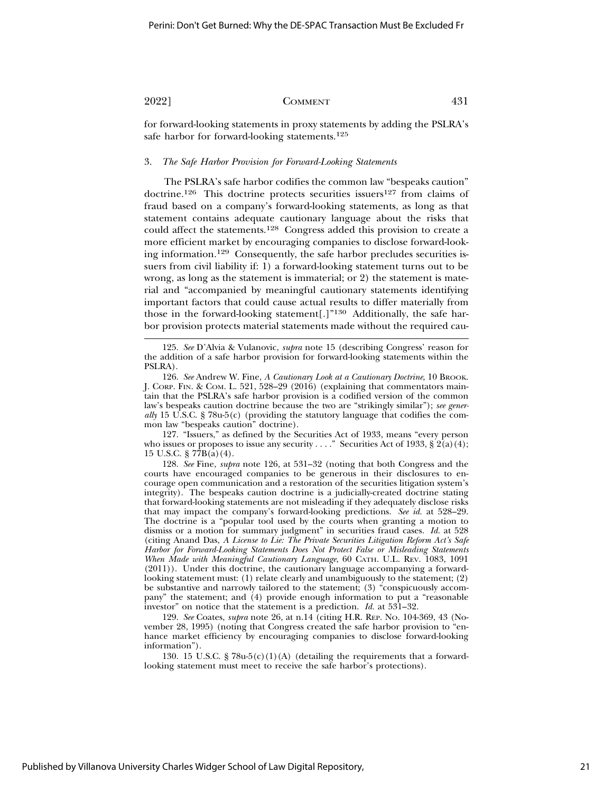for forward-looking statements in proxy statements by adding the PSLRA's safe harbor for forward-looking statements.125

### 3. *The Safe Harbor Provision for Forward-Looking Statements*

The PSLRA's safe harbor codifies the common law "bespeaks caution" doctrine.<sup>126</sup> This doctrine protects securities issuers<sup>127</sup> from claims of fraud based on a company's forward-looking statements, as long as that statement contains adequate cautionary language about the risks that could affect the statements.128 Congress added this provision to create a more efficient market by encouraging companies to disclose forward-looking information.129 Consequently, the safe harbor precludes securities issuers from civil liability if: 1) a forward-looking statement turns out to be wrong, as long as the statement is immaterial; or 2) the statement is material and "accompanied by meaningful cautionary statements identifying important factors that could cause actual results to differ materially from those in the forward-looking statement[.]"130 Additionally, the safe harbor provision protects material statements made without the required cau-

127. "Issuers," as defined by the Securities Act of 1933, means "every person who issues or proposes to issue any security . . . . " Securities Act of 1933,  $\S 2(a)(4)$ ; 15 U.S.C. § 77B(a)(4).

128. *See* Fine, *supra* note 126, at 531–32 (noting that both Congress and the courts have encouraged companies to be generous in their disclosures to encourage open communication and a restoration of the securities litigation system's integrity). The bespeaks caution doctrine is a judicially-created doctrine stating that forward-looking statements are not misleading if they adequately disclose risks that may impact the company's forward-looking predictions. *See id.* at 528–29. The doctrine is a "popular tool used by the courts when granting a motion to dismiss or a motion for summary judgment" in securities fraud cases. *Id.* at 528 (citing Anand Das, *A License to Lie: The Private Securities Litigation Reform Act's Safe Harbor for Forward-Looking Statements Does Not Protect False or Misleading Statements When Made with Meaningful Cautionary Language*, 60 CATH. U.L. REV. 1083, 1091 (2011)). Under this doctrine, the cautionary language accompanying a forwardlooking statement must: (1) relate clearly and unambiguously to the statement; (2) be substantive and narrowly tailored to the statement; (3) "conspicuously accompany" the statement; and (4) provide enough information to put a "reasonable investor" on notice that the statement is a prediction. *Id.* at 531–32.

129. *See* Coates, *supra* note 26, at n.14 (citing H.R. REP. NO. 104-369, 43 (November 28, 1995) (noting that Congress created the safe harbor provision to "enhance market efficiency by encouraging companies to disclose forward-looking information").

130. 15 U.S.C. § 78u-5(c)(1)(A) (detailing the requirements that a forwardlooking statement must meet to receive the safe harbor's protections).

<sup>125.</sup> *See* D'Alvia & Vulanovic, *supra* note 15 (describing Congress' reason for the addition of a safe harbor provision for forward-looking statements within the PSLRA).

<sup>126.</sup> *See* Andrew W. Fine, *A Cautionary Look at a Cautionary Doctrine*, 10 BROOK. J. CORP. FIN. & COM. L. 521, 528–29 (2016) (explaining that commentators maintain that the PSLRA's safe harbor provision is a codified version of the common law's bespeaks caution doctrine because the two are "strikingly similar"); *see generally* 15 U.S.C. § 78u-5(c) (providing the statutory language that codifies the common law "bespeaks caution" doctrine).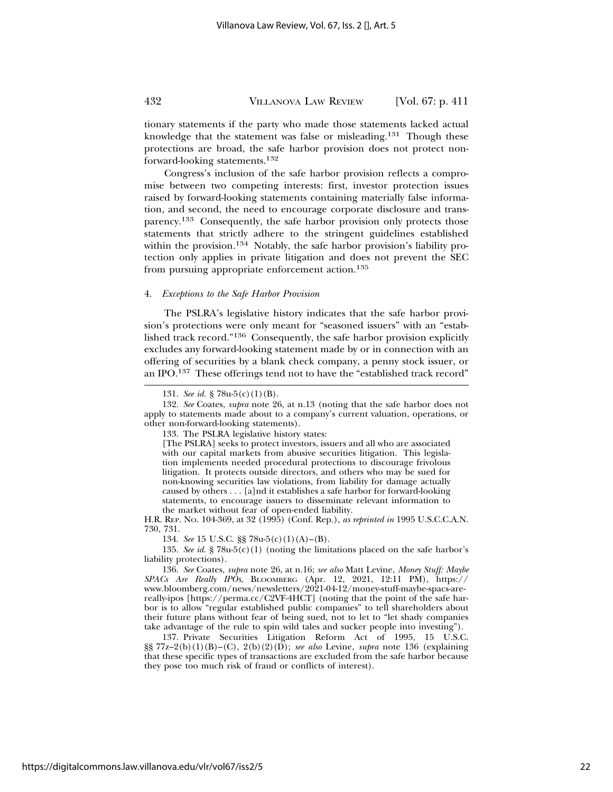tionary statements if the party who made those statements lacked actual knowledge that the statement was false or misleading.131 Though these protections are broad, the safe harbor provision does not protect nonforward-looking statements.<sup>132</sup>

Congress's inclusion of the safe harbor provision reflects a compromise between two competing interests: first, investor protection issues raised by forward-looking statements containing materially false information, and second, the need to encourage corporate disclosure and transparency.133 Consequently, the safe harbor provision only protects those statements that strictly adhere to the stringent guidelines established within the provision.<sup>134</sup> Notably, the safe harbor provision's liability protection only applies in private litigation and does not prevent the SEC from pursuing appropriate enforcement action.<sup>135</sup>

### 4. *Exceptions to the Safe Harbor Provision*

The PSLRA's legislative history indicates that the safe harbor provision's protections were only meant for "seasoned issuers" with an "established track record."136 Consequently, the safe harbor provision explicitly excludes any forward-looking statement made by or in connection with an offering of securities by a blank check company, a penny stock issuer, or an IPO.137 These offerings tend not to have the "established track record"

133. The PSLRA legislative history states:

H.R. REP. NO. 104-369, at 32 (1995) (Conf. Rep.), *as reprinted in* 1995 U.S.C.C.A.N. 730, 731.

134. *See* 15 U.S.C. §§ 78u-5(c)(1)(A)–(B).

135. *See id.* § 78u-5(c)(1) (noting the limitations placed on the safe harbor's liability protections).

136. *See* Coates, *supra* note 26, at n.16; *see also* Matt Levine, *Money Stuff: Maybe SPACs Are Really IPOs*, BLOOMBERG (Apr. 12, 2021, 12:11 PM), https:// www.bloomberg.com/news/newsletters/2021-04-12/money-stuff-maybe-spacs-arereally-ipos [https://perma.cc/C2VF-4HCT] (noting that the point of the safe harbor is to allow "regular established public companies" to tell shareholders about their future plans without fear of being sued, not to let to "let shady companies take advantage of the rule to spin wild tales and sucker people into investing").

137. Private Securities Litigation Reform Act of 1995, 15 U.S.C. §§ 77z–2(b)(1)(B)–(C), 2(b)(2)(D); *see also* Levine, *supra* note 136 (explaining that these specific types of transactions are excluded from the safe harbor because they pose too much risk of fraud or conflicts of interest).

<sup>131.</sup> *See id.* § 78u-5(c)(1)(B).

<sup>132.</sup> *See* Coates, *supra* note 26, at n.13 (noting that the safe harbor does not apply to statements made about to a company's current valuation, operations, or other non-forward-looking statements).

<sup>[</sup>The PSLRA] seeks to protect investors, issuers and all who are associated with our capital markets from abusive securities litigation. This legislation implements needed procedural protections to discourage frivolous litigation. It protects outside directors, and others who may be sued for non-knowing securities law violations, from liability for damage actually caused by others . . . [a]nd it establishes a safe harbor for forward-looking statements, to encourage issuers to disseminate relevant information to the market without fear of open-ended liability.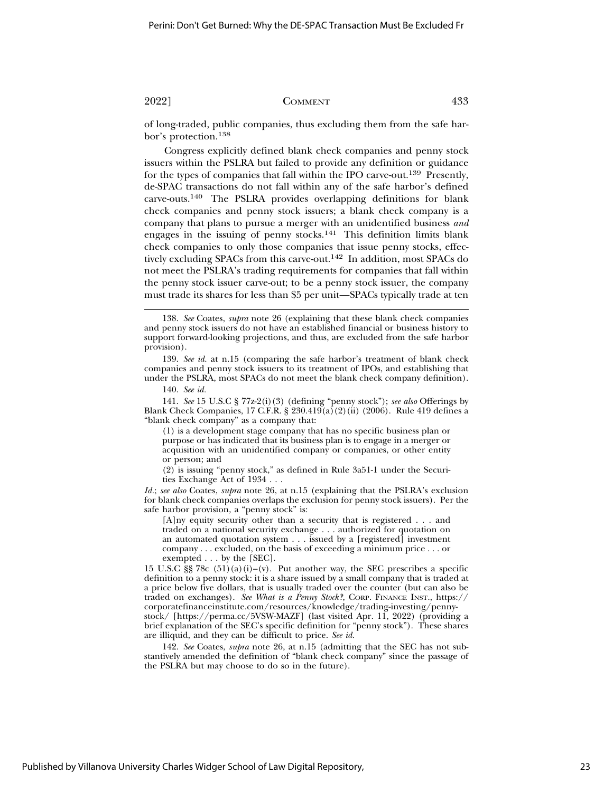of long-traded, public companies, thus excluding them from the safe harbor's protection.138

Congress explicitly defined blank check companies and penny stock issuers within the PSLRA but failed to provide any definition or guidance for the types of companies that fall within the IPO carve-out.139 Presently, de-SPAC transactions do not fall within any of the safe harbor's defined carve-outs.140 The PSLRA provides overlapping definitions for blank check companies and penny stock issuers; a blank check company is a company that plans to pursue a merger with an unidentified business *and* engages in the issuing of penny stocks.<sup>141</sup> This definition limits blank check companies to only those companies that issue penny stocks, effectively excluding SPACs from this carve-out.142 In addition, most SPACs do not meet the PSLRA's trading requirements for companies that fall within the penny stock issuer carve-out; to be a penny stock issuer, the company must trade its shares for less than \$5 per unit—SPACs typically trade at ten

139. *See id.* at n.15 (comparing the safe harbor's treatment of blank check companies and penny stock issuers to its treatment of IPOs, and establishing that under the PSLRA, most SPACs do not meet the blank check company definition).

140. *See id.*

141. *See* 15 U.S.C § 77z-2(i)(3) (defining "penny stock"); *see also* Offerings by Blank Check Companies, 17 C.F.R. § 230.419(a)(2)(ii) (2006). Rule 419 defines a "blank check company" as a company that:

(1) is a development stage company that has no specific business plan or purpose or has indicated that its business plan is to engage in a merger or acquisition with an unidentified company or companies, or other entity or person; and

(2) is issuing "penny stock," as defined in Rule 3a51-1 under the Securities Exchange Act of 1934 . . .

*Id.*; *see also* Coates, *supra* note 26, at n.15 (explaining that the PSLRA's exclusion for blank check companies overlaps the exclusion for penny stock issuers). Per the safe harbor provision, a "penny stock" is:

[A]ny equity security other than a security that is registered . . . and traded on a national security exchange . . . authorized for quotation on an automated quotation system . . . issued by a [registered] investment company . . . excluded, on the basis of exceeding a minimum price . . . or exempted . . . by the [SEC].

15 U.S.C  $\S$ § 78c (51)(a)(i)–(v). Put another way, the SEC prescribes a specific definition to a penny stock: it is a share issued by a small company that is traded at a price below five dollars, that is usually traded over the counter (but can also be traded on exchanges). *See What is a Penny Stock?*, CORP. FINANCE INST., https:// corporatefinanceinstitute.com/resources/knowledge/trading-investing/pennystock/ [https://perma.cc/5VSW-MAZF] (last visited Apr. 11, 2022) (providing a brief explanation of the SEC's specific definition for "penny stock"). These shares are illiquid, and they can be difficult to price. *See id.*

142. *See* Coates, *supra* note 26, at n.15 (admitting that the SEC has not substantively amended the definition of "blank check company" since the passage of the PSLRA but may choose to do so in the future).

<sup>138.</sup> *See* Coates, *supra* note 26 (explaining that these blank check companies and penny stock issuers do not have an established financial or business history to support forward-looking projections, and thus, are excluded from the safe harbor provision).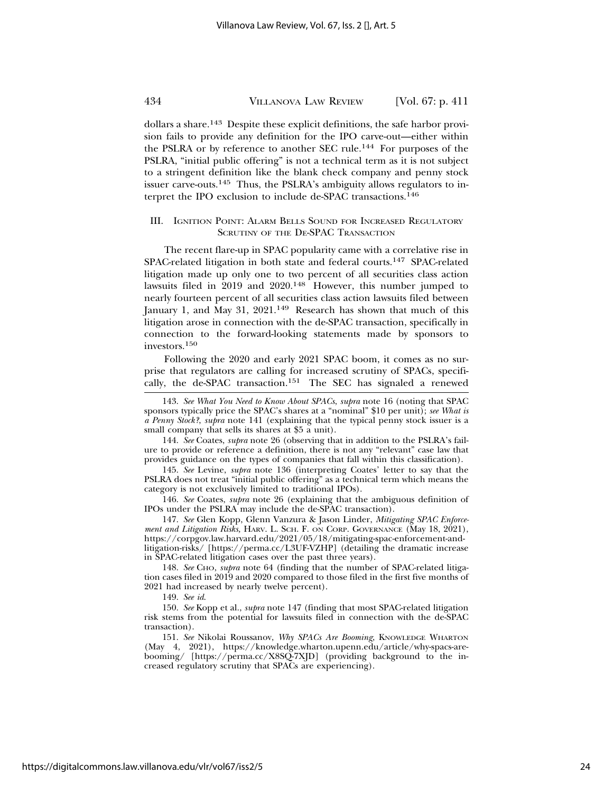dollars a share.143 Despite these explicit definitions, the safe harbor provision fails to provide any definition for the IPO carve-out—either within the PSLRA or by reference to another SEC rule.144 For purposes of the PSLRA, "initial public offering" is not a technical term as it is not subject to a stringent definition like the blank check company and penny stock issuer carve-outs.145 Thus, the PSLRA's ambiguity allows regulators to interpret the IPO exclusion to include de-SPAC transactions.<sup>146</sup>

### III. IGNITION POINT: ALARM BELLS SOUND FOR INCREASED REGULATORY SCRUTINY OF THE DE-SPAC TRANSACTION

The recent flare-up in SPAC popularity came with a correlative rise in SPAC-related litigation in both state and federal courts.<sup>147</sup> SPAC-related litigation made up only one to two percent of all securities class action lawsuits filed in 2019 and 2020.148 However, this number jumped to nearly fourteen percent of all securities class action lawsuits filed between January 1, and May 31, 2021.149 Research has shown that much of this litigation arose in connection with the de-SPAC transaction, specifically in connection to the forward-looking statements made by sponsors to investors.150

Following the 2020 and early 2021 SPAC boom, it comes as no surprise that regulators are calling for increased scrutiny of SPACs, specifically, the de-SPAC transaction.<sup>151</sup> The SEC has signaled a renewed

144. *See* Coates, *supra* note 26 (observing that in addition to the PSLRA's failure to provide or reference a definition, there is not any "relevant" case law that provides guidance on the types of companies that fall within this classification).

145. *See* Levine, *supra* note 136 (interpreting Coates' letter to say that the PSLRA does not treat "initial public offering" as a technical term which means the category is not exclusively limited to traditional IPOs).

146. *See* Coates, *supra* note 26 (explaining that the ambiguous definition of IPOs under the PSLRA may include the de-SPAC transaction).

147. *See* Glen Kopp, Glenn Vanzura & Jason Linder, *Mitigating SPAC Enforcement and Litigation Risks,* HARV. L. SCH. F. ON CORP. GOVERNANCE (May 18, 2021), https://corpgov.law.harvard.edu/2021/05/18/mitigating-spac-enforcement-andlitigation-risks/ [https://perma.cc/L3UF-VZHP] (detailing the dramatic increase in SPAC-related litigation cases over the past three years).

148. *See* CHO, *supra* note 64 (finding that the number of SPAC-related litigation cases filed in 2019 and 2020 compared to those filed in the first five months of 2021 had increased by nearly twelve percent).

149. *See id*.

150. *See* Kopp et al., *supra* note 147 (finding that most SPAC-related litigation risk stems from the potential for lawsuits filed in connection with the de-SPAC transaction).

151. See Nikolai Roussanov, *Why SPACs Are Booming*, KNOWLEDGE WHARTON (May 4, 2021), https://knowledge.wharton.upenn.edu/article/why-spacs-arebooming/ [https://perma.cc/X8SQ-7XJD] (providing background to the increased regulatory scrutiny that SPACs are experiencing).

<sup>143.</sup> *See What You Need to Know About SPACs*, *supra* note 16 (noting that SPAC sponsors typically price the SPAC's shares at a "nominal" \$10 per unit); *see What is a Penny Stock?*, *supra* note 141 (explaining that the typical penny stock issuer is a small company that sells its shares at \$5 a unit).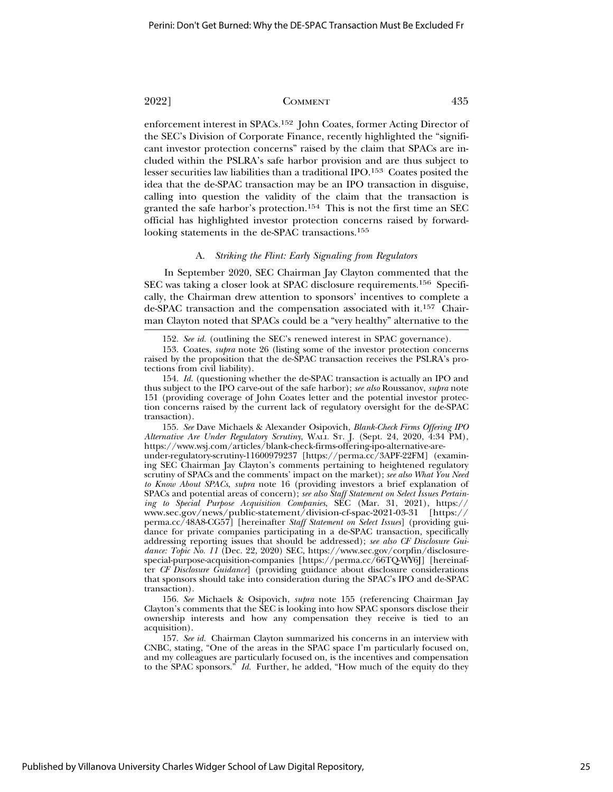enforcement interest in SPACs.<sup>152</sup> John Coates, former Acting Director of the SEC's Division of Corporate Finance, recently highlighted the "significant investor protection concerns" raised by the claim that SPACs are included within the PSLRA's safe harbor provision and are thus subject to lesser securities law liabilities than a traditional IPO.153 Coates posited the idea that the de-SPAC transaction may be an IPO transaction in disguise, calling into question the validity of the claim that the transaction is granted the safe harbor's protection.154 This is not the first time an SEC official has highlighted investor protection concerns raised by forwardlooking statements in the de-SPAC transactions.<sup>155</sup>

### A. *Striking the Flint: Early Signaling from Regulators*

In September 2020, SEC Chairman Jay Clayton commented that the SEC was taking a closer look at SPAC disclosure requirements.156 Specifically, the Chairman drew attention to sponsors' incentives to complete a de-SPAC transaction and the compensation associated with it.157 Chairman Clayton noted that SPACs could be a "very healthy" alternative to the

155. *See* Dave Michaels & Alexander Osipovich, *Blank-Check Firms Offering IPO Alternative Are Under Regulatory Scrutiny*, WALL ST. J. (Sept. 24, 2020, 4:34 PM), https://www.wsj.com/articles/blank-check-firms-offering-ipo-alternative-are-

under-regulatory-scrutiny-11600979237 [https://perma.cc/3APF-22FM] (examining SEC Chairman Jay Clayton's comments pertaining to heightened regulatory scrutiny of SPACs and the comments' impact on the market); *see also What You Need to Know About SPACs*, *supra* note 16 (providing investors a brief explanation of SPACs and potential areas of concern); *see also Staff Statement on Select Issues Pertaining to Special Purpose Acquisition Companies*, SEC (Mar. 31, 2021), https:// www.sec.gov/news/public-statement/division-cf-spac-2021-03-31 [https:// perma.cc/48A8-CG57] [hereinafter *Staff Statement on Select Issues*] (providing guidance for private companies participating in a de-SPAC transaction, specifically addressing reporting issues that should be addressed); *see also CF Disclosure Guidance: Topic No. 11* (Dec. 22, 2020) SEC, https://www.sec.gov/corpfin/disclosurespecial-purpose-acquisition-companies [https://perma.cc/66TQ-WY6J] [hereinafter *CF Disclosure Guidance*] (providing guidance about disclosure considerations that sponsors should take into consideration during the SPAC's IPO and de-SPAC transaction).

156. *See* Michaels & Osipovich, *supra* note 155 (referencing Chairman Jay Clayton's comments that the SEC is looking into how SPAC sponsors disclose their ownership interests and how any compensation they receive is tied to an acquisition).

157. *See id.* Chairman Clayton summarized his concerns in an interview with CNBC, stating, "One of the areas in the SPAC space I'm particularly focused on, and my colleagues are particularly focused on, is the incentives and compensation to the SPAC sponsors." *Id.* Further, he added, "How much of the equity do they

<sup>152.</sup> *See id.* (outlining the SEC's renewed interest in SPAC governance).

<sup>153.</sup> Coates, *supra* note 26 (listing some of the investor protection concerns raised by the proposition that the de-SPAC transaction receives the PSLRA's protections from civil liability).

<sup>154.</sup> *Id.* (questioning whether the de-SPAC transaction is actually an IPO and thus subject to the IPO carve-out of the safe harbor); *see also* Roussanov, *supra* note 151 (providing coverage of John Coates letter and the potential investor protection concerns raised by the current lack of regulatory oversight for the de-SPAC transaction).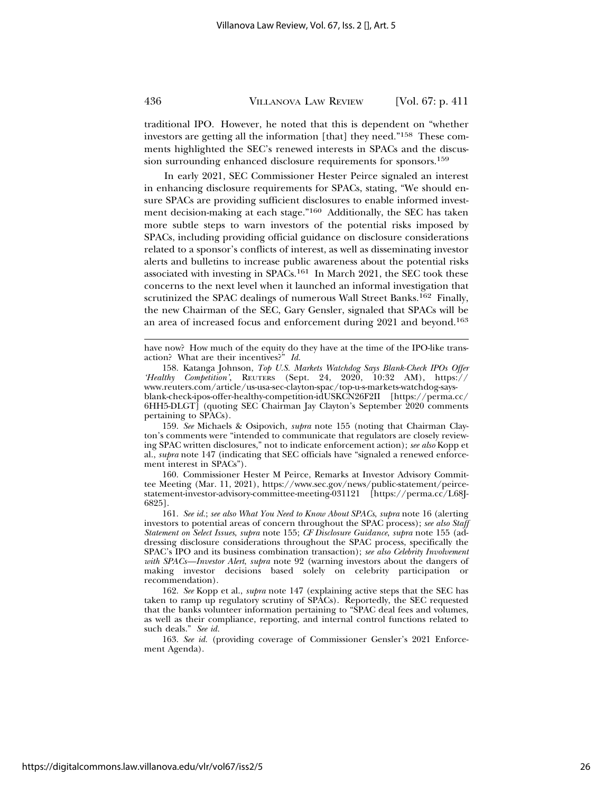traditional IPO. However, he noted that this is dependent on "whether investors are getting all the information [that] they need."158 These comments highlighted the SEC's renewed interests in SPACs and the discussion surrounding enhanced disclosure requirements for sponsors.159

In early 2021, SEC Commissioner Hester Peirce signaled an interest in enhancing disclosure requirements for SPACs, stating, "We should ensure SPACs are providing sufficient disclosures to enable informed investment decision-making at each stage."160 Additionally, the SEC has taken more subtle steps to warn investors of the potential risks imposed by SPACs, including providing official guidance on disclosure considerations related to a sponsor's conflicts of interest, as well as disseminating investor alerts and bulletins to increase public awareness about the potential risks associated with investing in SPACs.161 In March 2021, the SEC took these concerns to the next level when it launched an informal investigation that scrutinized the SPAC dealings of numerous Wall Street Banks.<sup>162</sup> Finally, the new Chairman of the SEC, Gary Gensler, signaled that SPACs will be an area of increased focus and enforcement during 2021 and beyond.163

159. *See* Michaels & Osipovich, *supra* note 155 (noting that Chairman Clayton's comments were "intended to communicate that regulators are closely reviewing SPAC written disclosures," not to indicate enforcement action); *see also* Kopp et al., *supra* note 147 (indicating that SEC officials have "signaled a renewed enforcement interest in SPACs").

160. Commissioner Hester M Peirce, Remarks at Investor Advisory Committee Meeting (Mar. 11, 2021), https://www.sec.gov/news/public-statement/peircestatement-investor-advisory-committee-meeting-031121 [https://perma.cc/L68J-6825].

161. *See id.*; *see also What You Need to Know About SPACs*, *supra* note 16 (alerting investors to potential areas of concern throughout the SPAC process); *see also Staff Statement on Select Issues*, *supra* note 155; *CF Disclosure Guidance*, *supra* note 155 (addressing disclosure considerations throughout the SPAC process, specifically the SPAC's IPO and its business combination transaction); *see also Celebrity Involvement with SPACs—Investor Alert*, *supra* note 92 (warning investors about the dangers of making investor decisions based solely on celebrity participation or recommendation).

162. *See* Kopp et al., *supra* note 147 (explaining active steps that the SEC has taken to ramp up regulatory scrutiny of SPACs). Reportedly, the SEC requested that the banks volunteer information pertaining to "SPAC deal fees and volumes, as well as their compliance, reporting, and internal control functions related to such deals." *See id.*

163. *See id.* (providing coverage of Commissioner Gensler's 2021 Enforcement Agenda).

have now? How much of the equity do they have at the time of the IPO-like transaction? What are their incentives?" *Id.*

<sup>158.</sup> Katanga Johnson, *Top U.S. Markets Watchdog Says Blank-Check IPOs Offer 'Healthy Competition'*, REUTERS (Sept. 24, 2020, 10:32 AM), https:// www.reuters.com/article/us-usa-sec-clayton-spac/top-u-s-markets-watchdog-saysblank-check-ipos-offer-healthy-competition-idUSKCN26F2II [https://perma.cc/ 6HH5-DLGT] (quoting SEC Chairman Jay Clayton's September 2020 comments pertaining to SPACs).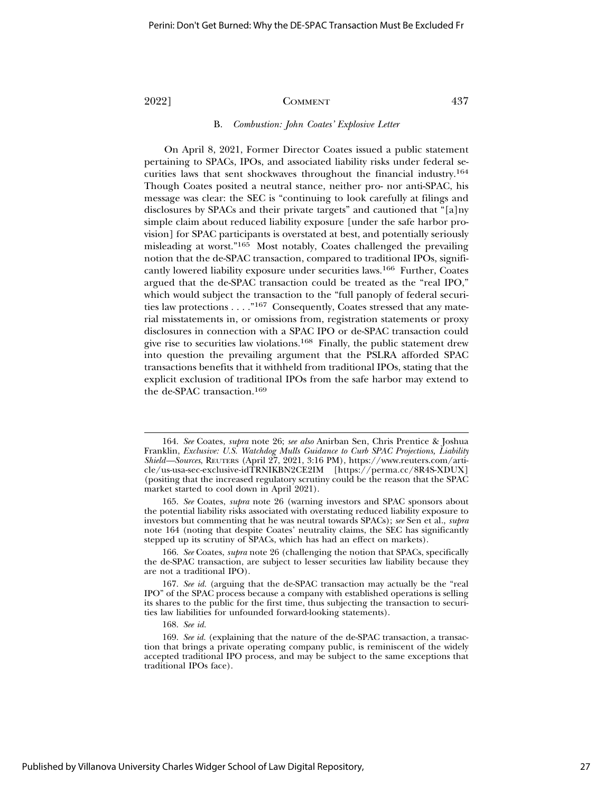### B. *Combustion: John Coates' Explosive Letter*

On April 8, 2021, Former Director Coates issued a public statement pertaining to SPACs, IPOs, and associated liability risks under federal securities laws that sent shockwaves throughout the financial industry.164 Though Coates posited a neutral stance, neither pro- nor anti-SPAC, his message was clear: the SEC is "continuing to look carefully at filings and disclosures by SPACs and their private targets" and cautioned that "[a]ny simple claim about reduced liability exposure [under the safe harbor provision] for SPAC participants is overstated at best, and potentially seriously misleading at worst."165 Most notably, Coates challenged the prevailing notion that the de-SPAC transaction, compared to traditional IPOs, significantly lowered liability exposure under securities laws.166 Further, Coates argued that the de-SPAC transaction could be treated as the "real IPO," which would subject the transaction to the "full panoply of federal securities law protections . . . ."167 Consequently, Coates stressed that any material misstatements in, or omissions from, registration statements or proxy disclosures in connection with a SPAC IPO or de-SPAC transaction could give rise to securities law violations.168 Finally, the public statement drew into question the prevailing argument that the PSLRA afforded SPAC transactions benefits that it withheld from traditional IPOs, stating that the explicit exclusion of traditional IPOs from the safe harbor may extend to the de-SPAC transaction.169

166. *See* Coates, *supra* note 26 (challenging the notion that SPACs, specifically the de-SPAC transaction, are subject to lesser securities law liability because they are not a traditional IPO).

168. *See id.*

<sup>164.</sup> *See* Coates, *supra* note 26; *see also* Anirban Sen, Chris Prentice & Joshua Franklin, *Exclusive: U.S. Watchdog Mulls Guidance to Curb SPAC Projections, Liability Shield—Sources*, REUTERS (April 27, 2021, 3:16 PM), https://www.reuters.com/article/us-usa-sec-exclusive-idTRNIKBN2CE2IM [https://perma.cc/8R4S-XDUX] (positing that the increased regulatory scrutiny could be the reason that the SPAC market started to cool down in April 2021).

<sup>165.</sup> *See* Coates, *supra* note 26 (warning investors and SPAC sponsors about the potential liability risks associated with overstating reduced liability exposure to investors but commenting that he was neutral towards SPACs); *see* Sen et al., *supra* note 164 (noting that despite Coates' neutrality claims, the SEC has significantly stepped up its scrutiny of SPACs, which has had an effect on markets).

<sup>167.</sup> *See id.* (arguing that the de-SPAC transaction may actually be the "real IPO" of the SPAC process because a company with established operations is selling its shares to the public for the first time, thus subjecting the transaction to securities law liabilities for unfounded forward-looking statements).

<sup>169.</sup> *See id.* (explaining that the nature of the de-SPAC transaction, a transaction that brings a private operating company public, is reminiscent of the widely accepted traditional IPO process, and may be subject to the same exceptions that traditional IPOs face).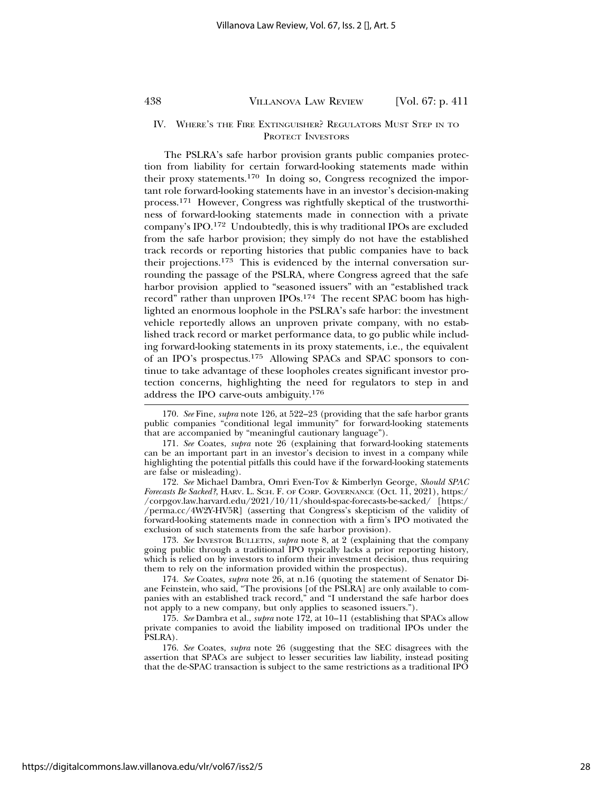### IV. WHERE'S THE FIRE EXTINGUISHER? REGULATORS MUST STEP IN TO PROTECT INVESTORS

The PSLRA's safe harbor provision grants public companies protection from liability for certain forward-looking statements made within their proxy statements.170 In doing so, Congress recognized the important role forward-looking statements have in an investor's decision-making process.171 However, Congress was rightfully skeptical of the trustworthiness of forward-looking statements made in connection with a private company's IPO.172 Undoubtedly, this is why traditional IPOs are excluded from the safe harbor provision; they simply do not have the established track records or reporting histories that public companies have to back their projections.173 This is evidenced by the internal conversation surrounding the passage of the PSLRA, where Congress agreed that the safe harbor provision applied to "seasoned issuers" with an "established track record" rather than unproven IPOs.174 The recent SPAC boom has highlighted an enormous loophole in the PSLRA's safe harbor: the investment vehicle reportedly allows an unproven private company, with no established track record or market performance data, to go public while including forward-looking statements in its proxy statements, i.e., the equivalent of an IPO's prospectus.175 Allowing SPACs and SPAC sponsors to continue to take advantage of these loopholes creates significant investor protection concerns, highlighting the need for regulators to step in and address the IPO carve-outs ambiguity.176

172. *See* Michael Dambra, Omri Even-Tov & Kimberlyn George, *Should SPAC Forecasts Be Sacked?*, HARV. L. SCH. F. OF CORP. GOVERNANCE (Oct. 11, 2021), https:/ /corpgov.law.harvard.edu/2021/10/11/should-spac-forecasts-be-sacked/ [https:/ /perma.cc/4W2Y-HV5R] (asserting that Congress's skepticism of the validity of forward-looking statements made in connection with a firm's IPO motivated the exclusion of such statements from the safe harbor provision).

173. *See* INVESTOR BULLETIN, *supra* note 8, at 2 (explaining that the company going public through a traditional IPO typically lacks a prior reporting history, which is relied on by investors to inform their investment decision, thus requiring them to rely on the information provided within the prospectus).

174. *See* Coates, *supra* note 26, at n.16 (quoting the statement of Senator Diane Feinstein, who said, "The provisions [of the PSLRA] are only available to companies with an established track record," and "I understand the safe harbor does not apply to a new company, but only applies to seasoned issuers.").

175. *See* Dambra et al., *supra* note 172, at 10–11 (establishing that SPACs allow private companies to avoid the liability imposed on traditional IPOs under the PSLRA).

176. *See* Coates, *supra* note 26 (suggesting that the SEC disagrees with the assertion that SPACs are subject to lesser securities law liability, instead positing that the de-SPAC transaction is subject to the same restrictions as a traditional IPO

<sup>170.</sup> *See* Fine, *supra* note 126, at 522–23 (providing that the safe harbor grants public companies "conditional legal immunity" for forward-looking statements that are accompanied by "meaningful cautionary language").

<sup>171.</sup> *See* Coates, *supra* note 26 (explaining that forward-looking statements can be an important part in an investor's decision to invest in a company while highlighting the potential pitfalls this could have if the forward-looking statements are false or misleading).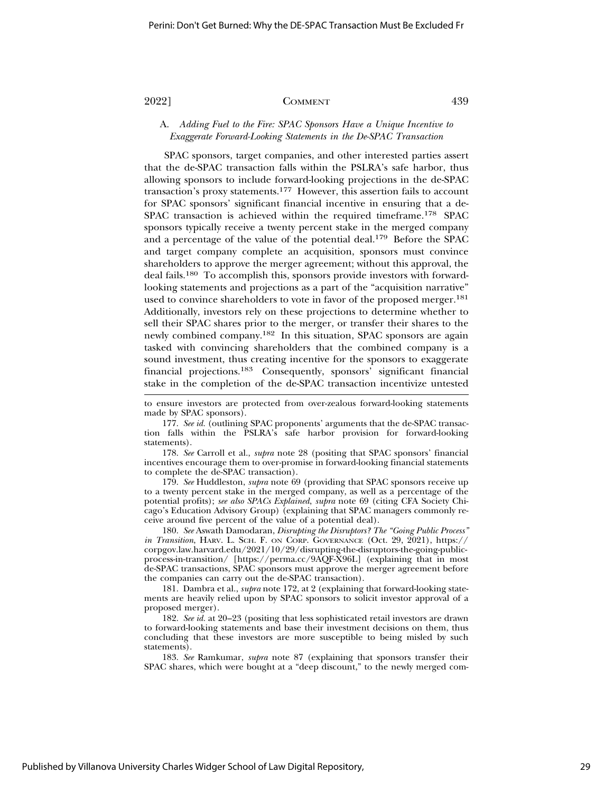# A. *Adding Fuel to the Fire: SPAC Sponsors Have a Unique Incentive to Exaggerate Forward-Looking Statements in the De-SPAC Transaction*

SPAC sponsors, target companies, and other interested parties assert that the de-SPAC transaction falls within the PSLRA's safe harbor, thus allowing sponsors to include forward-looking projections in the de-SPAC transaction's proxy statements.177 However, this assertion fails to account for SPAC sponsors' significant financial incentive in ensuring that a de-SPAC transaction is achieved within the required timeframe.178 SPAC sponsors typically receive a twenty percent stake in the merged company and a percentage of the value of the potential deal.<sup>179</sup> Before the SPAC and target company complete an acquisition, sponsors must convince shareholders to approve the merger agreement; without this approval, the deal fails.180 To accomplish this, sponsors provide investors with forwardlooking statements and projections as a part of the "acquisition narrative" used to convince shareholders to vote in favor of the proposed merger.<sup>181</sup> Additionally, investors rely on these projections to determine whether to sell their SPAC shares prior to the merger, or transfer their shares to the newly combined company.182 In this situation, SPAC sponsors are again tasked with convincing shareholders that the combined company is a sound investment, thus creating incentive for the sponsors to exaggerate financial projections.183 Consequently, sponsors' significant financial stake in the completion of the de-SPAC transaction incentivize untested

177. *See id.* (outlining SPAC proponents' arguments that the de-SPAC transaction falls within the PSLRA's safe harbor provision for forward-looking statements).

178. *See* Carroll et al., *supra* note 28 (positing that SPAC sponsors' financial incentives encourage them to over-promise in forward-looking financial statements to complete the de-SPAC transaction).

179. *See* Huddleston, *supra* note 69 (providing that SPAC sponsors receive up to a twenty percent stake in the merged company, as well as a percentage of the potential profits); *see also SPACs Explained*, *supra* note 69 (citing CFA Society Chicago's Education Advisory Group) (explaining that SPAC managers commonly receive around five percent of the value of a potential deal).

180. *See* Aswath Damodaran, *Disrupting the Disruptors? The "Going Public Process" in Transition*, HARV. L. SCH. F. ON CORP. GOVERNANCE (Oct. 29, 2021), https://  $\operatorname{corpgov.law.harvard.edu/2021/10/29/disrupting-the-disruptors-the-going-public$ process-in-transition/ [https://perma.cc/9AQF-X96L] (explaining that in most de-SPAC transactions, SPAC sponsors must approve the merger agreement before the companies can carry out the de-SPAC transaction).

181. Dambra et al., *supra* note 172, at 2 (explaining that forward-looking statements are heavily relied upon by SPAC sponsors to solicit investor approval of a proposed merger).

182. *See id.* at 20–23 (positing that less sophisticated retail investors are drawn to forward-looking statements and base their investment decisions on them, thus concluding that these investors are more susceptible to being misled by such statements).

183. *See* Ramkumar, *supra* note 87 (explaining that sponsors transfer their SPAC shares, which were bought at a "deep discount," to the newly merged com-

to ensure investors are protected from over-zealous forward-looking statements made by SPAC sponsors).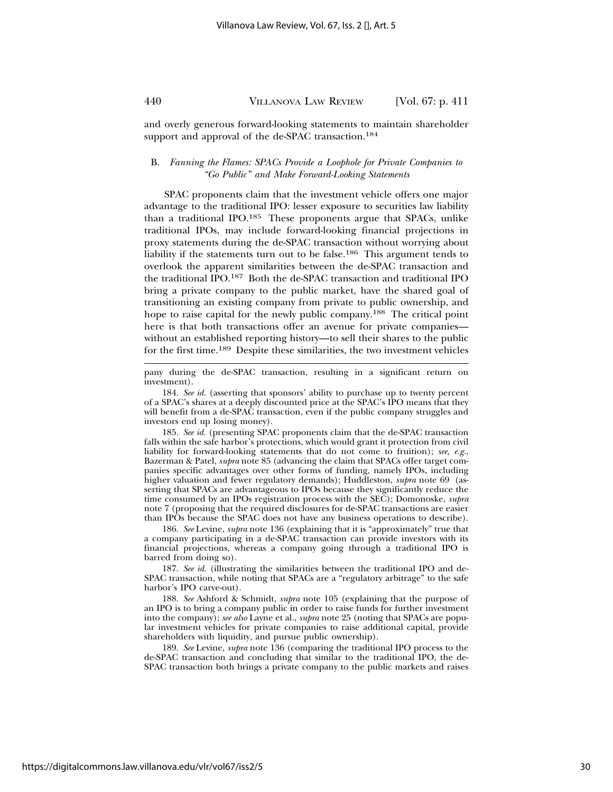and overly generous forward-looking statements to maintain shareholder support and approval of the de-SPAC transaction.<sup>184</sup>

# B. *Fanning the Flames: SPACs Provide a Loophole for Private Companies to "Go Public" and Make Forward-Looking Statements*

SPAC proponents claim that the investment vehicle offers one major advantage to the traditional IPO: lesser exposure to securities law liability than a traditional IPO.185 These proponents argue that SPACs, unlike traditional IPOs, may include forward-looking financial projections in proxy statements during the de-SPAC transaction without worrying about liability if the statements turn out to be false.<sup>186</sup> This argument tends to overlook the apparent similarities between the de-SPAC transaction and the traditional IPO.187 Both the de-SPAC transaction and traditional IPO bring a private company to the public market, have the shared goal of transitioning an existing company from private to public ownership, and hope to raise capital for the newly public company.<sup>188</sup> The critical point here is that both transactions offer an avenue for private companies without an established reporting history—to sell their shares to the public for the first time.189 Despite these similarities, the two investment vehicles

pany during the de-SPAC transaction, resulting in a significant return on investment).

184. *See id.* (asserting that sponsors' ability to purchase up to twenty percent of a SPAC's shares at a deeply discounted price at the SPAC's IPO means that they will benefit from a de-SPAC transaction, even if the public company struggles and investors end up losing money).

185. *See id.* (presenting SPAC proponents claim that the de-SPAC transaction falls within the safe harbor's protections, which would grant it protection from civil liability for forward-looking statements that do not come to fruition); *see, e.g.*, Bazerman & Patel, *supra* note 85 (advancing the claim that SPACs offer target companies specific advantages over other forms of funding, namely IPOs, including higher valuation and fewer regulatory demands); Huddleston, *supra* note 69 (asserting that SPACs are advantageous to IPOs because they significantly reduce the time consumed by an IPOs registration process with the SEC); Domonoske, *supra* note 7 (proposing that the required disclosures for de-SPAC transactions are easier than IPOs because the SPAC does not have any business operations to describe).

186. *See* Levine, *supra* note 136 (explaining that it is "approximately" true that a company participating in a de-SPAC transaction can provide investors with its financial projections, whereas a company going through a traditional IPO is barred from doing so).

187. *See id.* (illustrating the similarities between the traditional IPO and de-SPAC transaction, while noting that SPACs are a "regulatory arbitrage" to the safe harbor's IPO carve-out).

188. *See* Ashford & Schmidt, *supra* note 105 (explaining that the purpose of an IPO is to bring a company public in order to raise funds for further investment into the company); *see also* Layne et al., *supra* note 25 (noting that SPACs are popular investment vehicles for private companies to raise additional capital, provide shareholders with liquidity, and pursue public ownership).

189. *See* Levine, *supra* note 136 (comparing the traditional IPO process to the de-SPAC transaction and concluding that similar to the traditional IPO, the de-SPAC transaction both brings a private company to the public markets and raises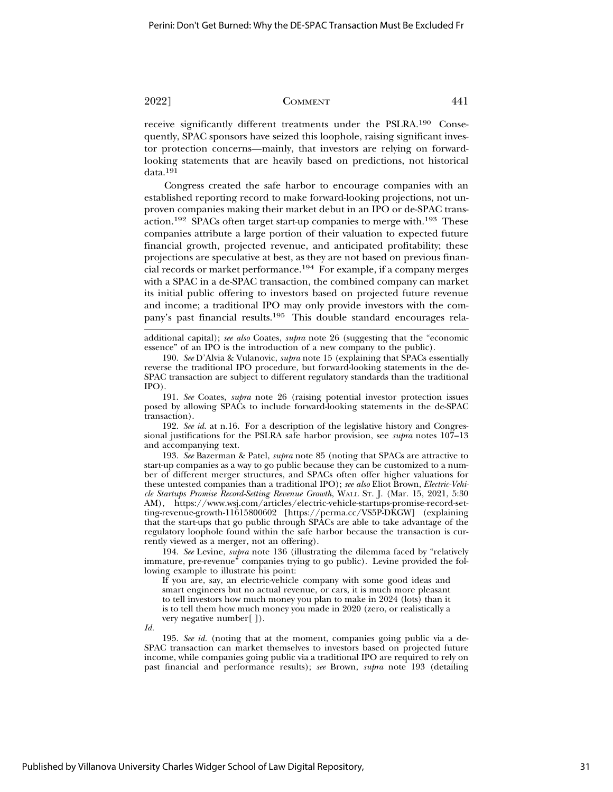receive significantly different treatments under the PSLRA.190 Consequently, SPAC sponsors have seized this loophole, raising significant investor protection concerns—mainly, that investors are relying on forwardlooking statements that are heavily based on predictions, not historical data.<sup>191</sup>

Congress created the safe harbor to encourage companies with an established reporting record to make forward-looking projections, not unproven companies making their market debut in an IPO or de-SPAC transaction.192 SPACs often target start-up companies to merge with.193 These companies attribute a large portion of their valuation to expected future financial growth, projected revenue, and anticipated profitability; these projections are speculative at best, as they are not based on previous financial records or market performance.194 For example, if a company merges with a SPAC in a de-SPAC transaction, the combined company can market its initial public offering to investors based on projected future revenue and income; a traditional IPO may only provide investors with the company's past financial results.195 This double standard encourages rela-

additional capital); *see also* Coates, *supra* note 26 (suggesting that the "economic essence" of an IPO is the introduction of a new company to the public).

190. *See* D'Alvia & Vulanovic, *supra* note 15 (explaining that SPACs essentially reverse the traditional IPO procedure, but forward-looking statements in the de-SPAC transaction are subject to different regulatory standards than the traditional IPO).

191. *See* Coates, *supra* note 26 (raising potential investor protection issues posed by allowing SPACs to include forward-looking statements in the de-SPAC transaction).

192. *See id.* at n.16. For a description of the legislative history and Congressional justifications for the PSLRA safe harbor provision, see *supra* notes 107–13 and accompanying text.

193. *See* Bazerman & Patel, *supra* note 85 (noting that SPACs are attractive to start-up companies as a way to go public because they can be customized to a number of different merger structures, and SPACs often offer higher valuations for these untested companies than a traditional IPO); *see also* Eliot Brown, *Electric-Vehicle Startups Promise Record-Setting Revenue Growth*, WALL ST. J. (Mar. 15, 2021, 5:30 AM), https://www.wsj.com/articles/electric-vehicle-startups-promise-record-setting-revenue-growth-11615800602 [https://perma.cc/VS5P-DKGW] (explaining that the start-ups that go public through SPACs are able to take advantage of the regulatory loophole found within the safe harbor because the transaction is currently viewed as a merger, not an offering).

194. *See* Levine, *supra* note 136 (illustrating the dilemma faced by "relatively immature, pre-revenue" companies trying to go public). Levine provided the following example to illustrate his point:

If you are, say, an electric-vehicle company with some good ideas and smart engineers but no actual revenue, or cars, it is much more pleasant to tell investors how much money you plan to make in 2024 (lots) than it is to tell them how much money you made in 2020 (zero, or realistically a very negative number[ ]).

*Id.*

195. *See id.* (noting that at the moment, companies going public via a de-SPAC transaction can market themselves to investors based on projected future income, while companies going public via a traditional IPO are required to rely on past financial and performance results); *see* Brown, *supra* note 193 (detailing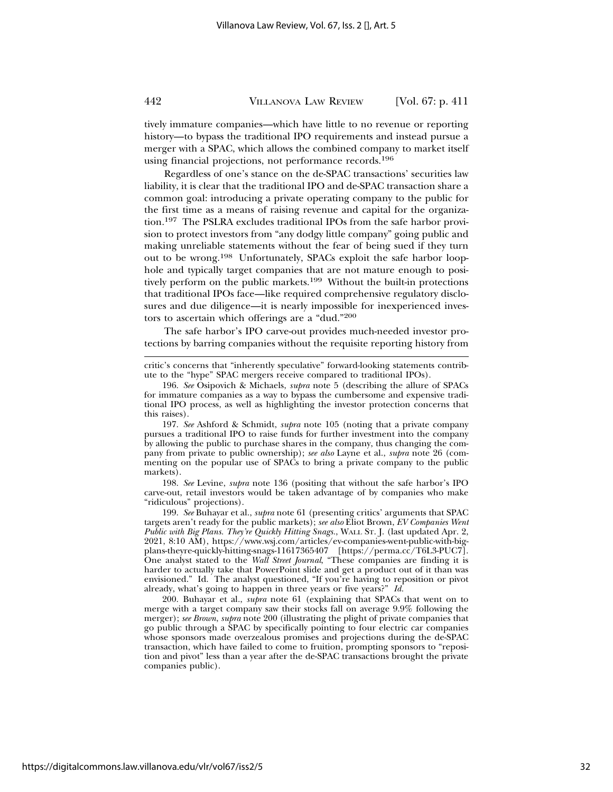tively immature companies—which have little to no revenue or reporting history—to bypass the traditional IPO requirements and instead pursue a merger with a SPAC, which allows the combined company to market itself using financial projections, not performance records.196

Regardless of one's stance on the de-SPAC transactions' securities law liability, it is clear that the traditional IPO and de-SPAC transaction share a common goal: introducing a private operating company to the public for the first time as a means of raising revenue and capital for the organization.197 The PSLRA excludes traditional IPOs from the safe harbor provision to protect investors from "any dodgy little company" going public and making unreliable statements without the fear of being sued if they turn out to be wrong.198 Unfortunately, SPACs exploit the safe harbor loophole and typically target companies that are not mature enough to positively perform on the public markets.<sup>199</sup> Without the built-in protections that traditional IPOs face—like required comprehensive regulatory disclosures and due diligence—it is nearly impossible for inexperienced investors to ascertain which offerings are a "dud."<sup>200</sup>

The safe harbor's IPO carve-out provides much-needed investor protections by barring companies without the requisite reporting history from

critic's concerns that "inherently speculative" forward-looking statements contribute to the "hype" SPAC mergers receive compared to traditional IPOs).

196. *See* Osipovich & Michaels, *supra* note 5 (describing the allure of SPACs for immature companies as a way to bypass the cumbersome and expensive traditional IPO process, as well as highlighting the investor protection concerns that this raises).

197. *See* Ashford & Schmidt, *supra* note 105 (noting that a private company pursues a traditional IPO to raise funds for further investment into the company by allowing the public to purchase shares in the company, thus changing the company from private to public ownership); *see also* Layne et al., *supra* note 26 (commenting on the popular use of SPACs to bring a private company to the public markets).

198. *See* Levine, *supra* note 136 (positing that without the safe harbor's IPO carve-out, retail investors would be taken advantage of by companies who make "ridiculous" projections).

199. *See* Buhayar et al., *supra* note 61 (presenting critics' arguments that SPAC targets aren't ready for the public markets); *see also* Eliot Brown, *EV Companies Went Public with Big Plans. They're Quickly Hitting Snags.*, WALL ST. J. (last updated Apr. 2, 2021, 8:10 AM), https://www.wsj.com/articles/ev-companies-went-public-with-bigplans-theyre-quickly-hitting-snags-11617365407 [https://perma.cc/T6L3-PUC7]. One analyst stated to the *Wall Street Journal*, "These companies are finding it is harder to actually take that PowerPoint slide and get a product out of it than was envisioned." Id. The analyst questioned, "If you're having to reposition or pivot already, what's going to happen in three years or five years?" *Id.*

200. Buhayar et al., *supra* note 61 (explaining that SPACs that went on to merge with a target company saw their stocks fall on average 9.9% following the merger); *see Brown*, *supra* note 200 (illustrating the plight of private companies that go public through a SPAC by specifically pointing to four electric car companies whose sponsors made overzealous promises and projections during the de-SPAC transaction, which have failed to come to fruition, prompting sponsors to "reposition and pivot" less than a year after the de-SPAC transactions brought the private companies public).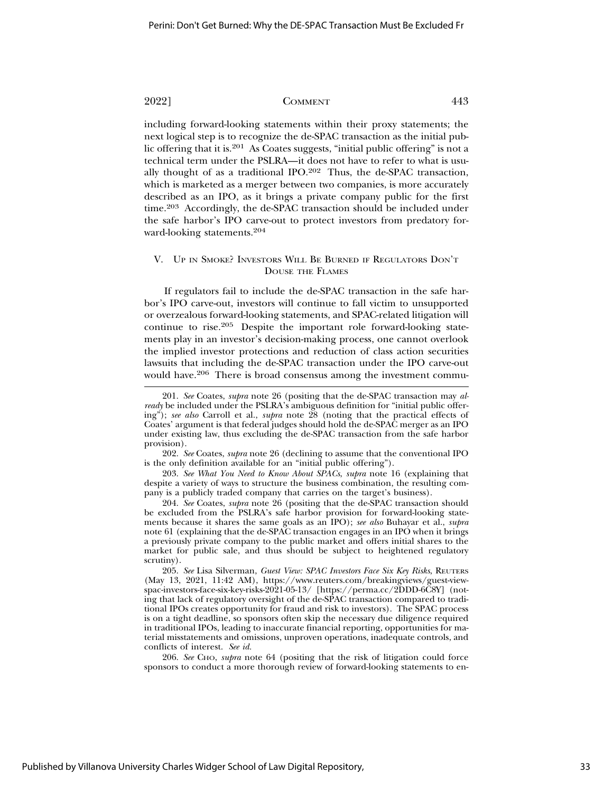including forward-looking statements within their proxy statements; the next logical step is to recognize the de-SPAC transaction as the initial public offering that it is.201 As Coates suggests, "initial public offering" is not a technical term under the PSLRA—it does not have to refer to what is usually thought of as a traditional IPO.202 Thus, the de-SPAC transaction, which is marketed as a merger between two companies, is more accurately described as an IPO, as it brings a private company public for the first time.<sup>203</sup> Accordingly, the de-SPAC transaction should be included under the safe harbor's IPO carve-out to protect investors from predatory forward-looking statements.204

# V. UP IN SMOKE? INVESTORS WILL BE BURNED IF REGULATORS DON'T DOUSE THE FLAMES

If regulators fail to include the de-SPAC transaction in the safe harbor's IPO carve-out, investors will continue to fall victim to unsupported or overzealous forward-looking statements, and SPAC-related litigation will continue to rise.205 Despite the important role forward-looking statements play in an investor's decision-making process, one cannot overlook the implied investor protections and reduction of class action securities lawsuits that including the de-SPAC transaction under the IPO carve-out would have.<sup>206</sup> There is broad consensus among the investment commu-

202. *See* Coates, *supra* note 26 (declining to assume that the conventional IPO is the only definition available for an "initial public offering").

203. *See What You Need to Know About SPACs*, *supra* note 16 (explaining that despite a variety of ways to structure the business combination, the resulting company is a publicly traded company that carries on the target's business).

204. *See* Coates, *supra* note 26 (positing that the de-SPAC transaction should be excluded from the PSLRA's safe harbor provision for forward-looking statements because it shares the same goals as an IPO); *see also* Buhayar et al., *supra* note 61 (explaining that the de-SPAC transaction engages in an IPO when it brings a previously private company to the public market and offers initial shares to the market for public sale, and thus should be subject to heightened regulatory scrutiny).

205. *See* Lisa Silverman, *Guest View: SPAC Investors Face Six Key Risks*, REUTERS (May 13, 2021, 11:42 AM), https://www.reuters.com/breakingviews/guest-viewspac-investors-face-six-key-risks-2021-05-13/ [https://perma.cc/2DDD-6C8Y] (noting that lack of regulatory oversight of the de-SPAC transaction compared to traditional IPOs creates opportunity for fraud and risk to investors). The SPAC process is on a tight deadline, so sponsors often skip the necessary due diligence required in traditional IPOs, leading to inaccurate financial reporting, opportunities for material misstatements and omissions, unproven operations, inadequate controls, and conflicts of interest. *See id.*

206. *See* CHO, *supra* note 64 (positing that the risk of litigation could force sponsors to conduct a more thorough review of forward-looking statements to en-

<sup>201.</sup> *See* Coates, *supra* note 26 (positing that the de-SPAC transaction may *already* be included under the PSLRA's ambiguous definition for "initial public offering"); *see also* Carroll et al., *supra* note 28 (noting that the practical effects of Coates' argument is that federal judges should hold the de-SPAC merger as an IPO under existing law, thus excluding the de-SPAC transaction from the safe harbor provision).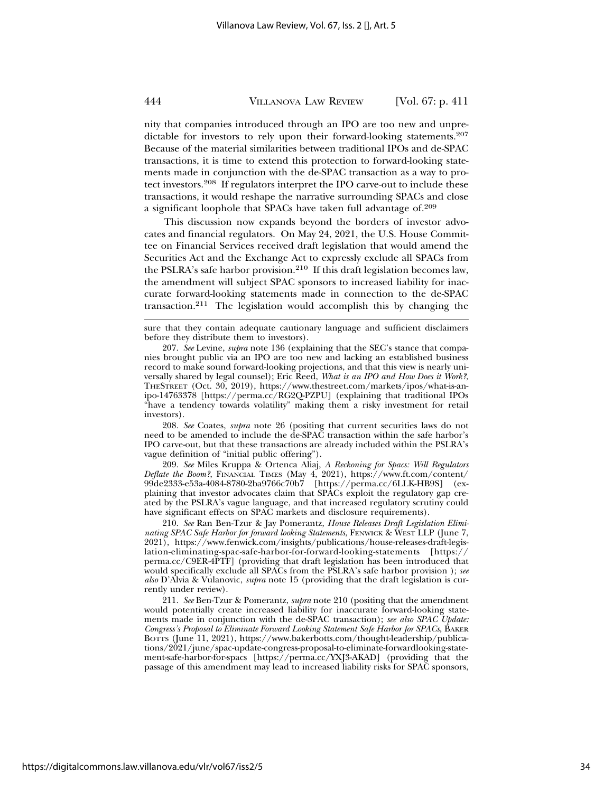nity that companies introduced through an IPO are too new and unpredictable for investors to rely upon their forward-looking statements.207 Because of the material similarities between traditional IPOs and de-SPAC transactions, it is time to extend this protection to forward-looking statements made in conjunction with the de-SPAC transaction as a way to protect investors.208 If regulators interpret the IPO carve-out to include these transactions, it would reshape the narrative surrounding SPACs and close a significant loophole that SPACs have taken full advantage of.209

This discussion now expands beyond the borders of investor advocates and financial regulators. On May 24, 2021, the U.S. House Committee on Financial Services received draft legislation that would amend the Securities Act and the Exchange Act to expressly exclude all SPACs from the PSLRA's safe harbor provision.<sup>210</sup> If this draft legislation becomes law, the amendment will subject SPAC sponsors to increased liability for inaccurate forward-looking statements made in connection to the de-SPAC transaction.211 The legislation would accomplish this by changing the

sure that they contain adequate cautionary language and sufficient disclaimers before they distribute them to investors).

207. *See* Levine, *supra* note 136 (explaining that the SEC's stance that companies brought public via an IPO are too new and lacking an established business record to make sound forward-looking projections, and that this view is nearly universally shared by legal counsel); Eric Reed, *What is an IPO and How Does it Work?*, THESTREET (Oct. 30, 2019), https://www.thestreet.com/markets/ipos/what-is-anipo-14763378 [https://perma.cc/RG2Q-PZPU] (explaining that traditional IPOs "have a tendency towards volatility" making them a risky investment for retail investors).

208. *See* Coates, *supra* note 26 (positing that current securities laws do not need to be amended to include the de-SPAC transaction within the safe harbor's IPO carve-out, but that these transactions are already included within the PSLRA's vague definition of "initial public offering").

209. *See* Miles Kruppa & Ortenca Aliaj, *A Reckoning for Spacs: Will Regulators Deflate the Boom?*, FINANCIAL TIMES (May 4, 2021), https://www.ft.com/content/ 99de2333-e53a-4084-8780-2ba9766c70b7 [https://perma.cc/6LLK-HB9S] (explaining that investor advocates claim that SPACs exploit the regulatory gap created by the PSLRA's vague language, and that increased regulatory scrutiny could have significant effects on SPAC markets and disclosure requirements).

210. *See* Ran Ben-Tzur & Jay Pomerantz, *House Releases Draft Legislation Eliminating SPAC Safe Harbor for forward looking Statements*, FENWICK & WEST LLP (June 7, 2021), https://www.fenwick.com/insights/publications/house-releases-draft-legislation-eliminating-spac-safe-harbor-for-forward-looking-statements [https:// perma.cc/C9ER-4PTF] (providing that draft legislation has been introduced that would specifically exclude all SPACs from the PSLRA's safe harbor provision ); *see also* D'Alvia & Vulanovic, *supra* note 15 (providing that the draft legislation is currently under review).

211. *See* Ben-Tzur & Pomerantz, *supra* note 210 (positing that the amendment would potentially create increased liability for inaccurate forward-looking statements made in conjunction with the de-SPAC transaction); *see also SPAC Update: Congress's Proposal to Eliminate Forward Looking Statement Safe Harbor for SPACs*, BAKER BOTTS (June 11, 2021), https://www.bakerbotts.com/thought-leadership/publications/2021/june/spac-update-congress-proposal-to-eliminate-forwardlooking-statement-safe-harbor-for-spacs [https://perma.cc/YXJ3-AKAD] (providing that the passage of this amendment may lead to increased liability risks for SPAC sponsors,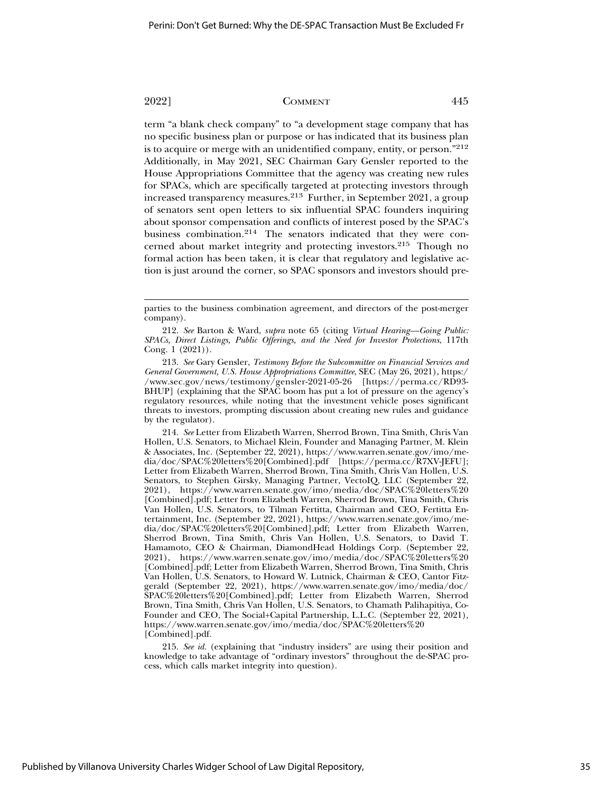term "a blank check company" to "a development stage company that has no specific business plan or purpose or has indicated that its business plan is to acquire or merge with an unidentified company, entity, or person."212 Additionally, in May 2021, SEC Chairman Gary Gensler reported to the House Appropriations Committee that the agency was creating new rules for SPACs, which are specifically targeted at protecting investors through increased transparency measures.213 Further, in September 2021, a group of senators sent open letters to six influential SPAC founders inquiring about sponsor compensation and conflicts of interest posed by the SPAC's business combination.214 The senators indicated that they were concerned about market integrity and protecting investors.215 Though no formal action has been taken, it is clear that regulatory and legislative action is just around the corner, so SPAC sponsors and investors should pre-

214. *See* Letter from Elizabeth Warren, Sherrod Brown, Tina Smith, Chris Van Hollen, U.S. Senators, to Michael Klein, Founder and Managing Partner, M. Klein & Associates, Inc. (September 22, 2021), https://www.warren.senate.gov/imo/media/doc/SPAC%20letters%20[Combined].pdf [https://perma.cc/R7XV-JEFU]; Letter from Elizabeth Warren, Sherrod Brown, Tina Smith, Chris Van Hollen, U.S. Senators, to Stephen Girsky, Managing Partner, VectoIQ, LLC (September 22, 2021), https://www.warren.senate.gov/imo/media/doc/SPAC%20letters%20 [Combined].pdf; Letter from Elizabeth Warren, Sherrod Brown, Tina Smith, Chris Van Hollen, U.S. Senators, to Tilman Fertitta, Chairman and CEO, Fertitta Entertainment, Inc. (September 22, 2021), https://www.warren.senate.gov/imo/media/doc/SPAC%20letters%20[Combined].pdf; Letter from Elizabeth Warren, Sherrod Brown, Tina Smith, Chris Van Hollen, U.S. Senators, to David T. Hamamoto, CEO & Chairman, DiamondHead Holdings Corp. (September 22, 2021), https://www.warren.senate.gov/imo/media/doc/SPAC%20letters%20 [Combined].pdf; Letter from Elizabeth Warren, Sherrod Brown, Tina Smith, Chris Van Hollen, U.S. Senators, to Howard W. Lutnick, Chairman & CEO, Cantor Fitzgerald (September 22, 2021), https://www.warren.senate.gov/imo/media/doc/ SPAC%20letters%20[Combined].pdf; Letter from Elizabeth Warren, Sherrod Brown, Tina Smith, Chris Van Hollen, U.S. Senators, to Chamath Palihapitiya, Co-Founder and CEO, The Social+Capital Partnership, L.L.C. (September 22, 2021), https://www.warren.senate.gov/imo/media/doc/SPAC%20letters%20 [Combined].pdf.

215. *See id.* (explaining that "industry insiders" are using their position and knowledge to take advantage of "ordinary investors" throughout the de-SPAC process, which calls market integrity into question).

parties to the business combination agreement, and directors of the post-merger company).

<sup>212.</sup> *See* Barton & Ward, *supra* note 65 (citing *Virtual Hearing—Going Public: SPACs, Direct Listings, Public Offerings, and the Need for Investor Protections*, 117th Cong. 1 (2021)).

<sup>213.</sup> *See* Gary Gensler, *Testimony Before the Subcommittee on Financial Services and General Government, U.S. House Appropriations Committee*, SEC (May 26, 2021), https:/ /www.sec.gov/news/testimony/gensler-2021-05-26 [https://perma.cc/RD93- BHUP] (explaining that the SPAC boom has put a lot of pressure on the agency's regulatory resources, while noting that the investment vehicle poses significant threats to investors, prompting discussion about creating new rules and guidance by the regulator).